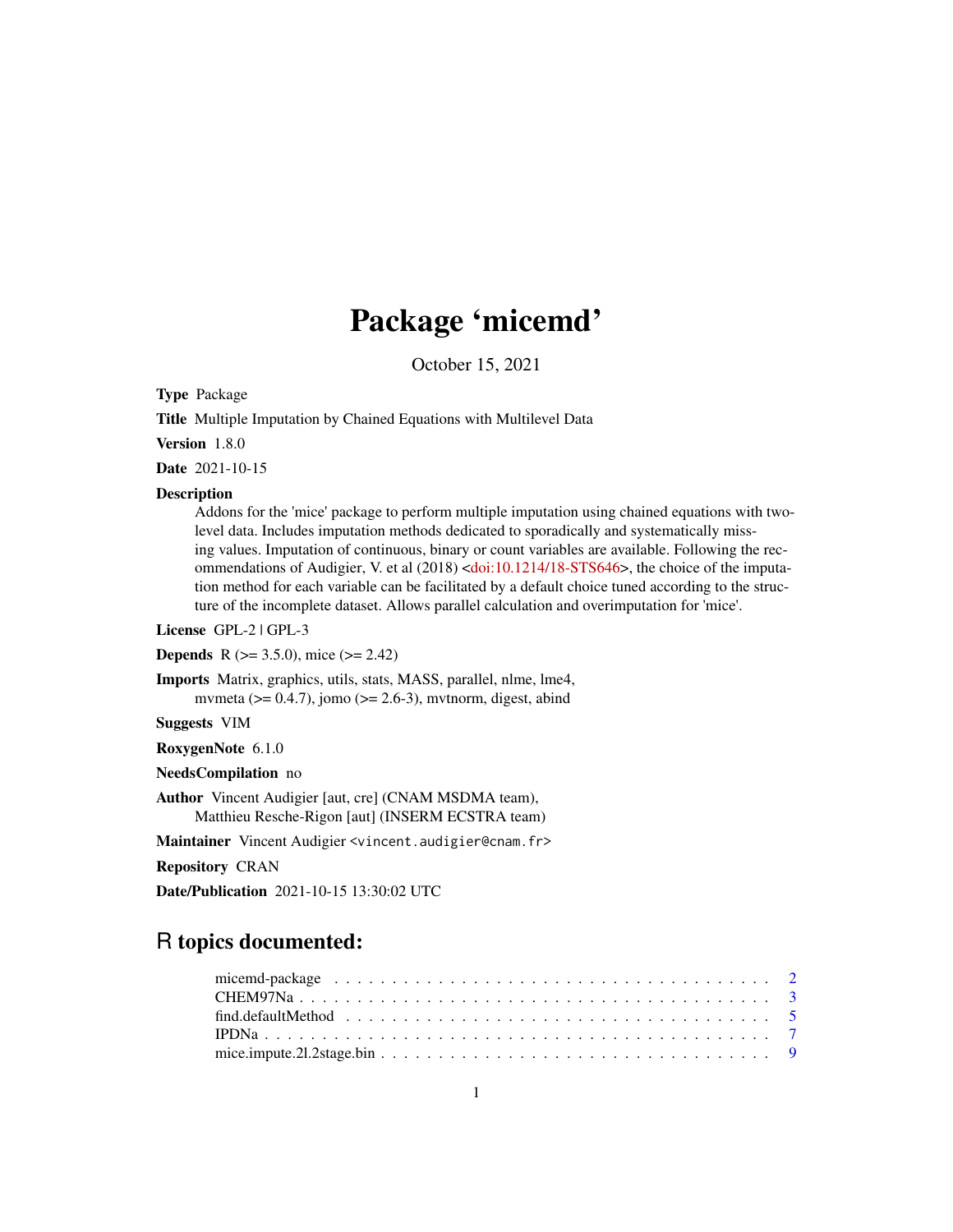# Package 'micemd'

October 15, 2021

<span id="page-0-0"></span>Type Package

Title Multiple Imputation by Chained Equations with Multilevel Data

Version 1.8.0

Date 2021-10-15

# **Description**

Addons for the 'mice' package to perform multiple imputation using chained equations with twolevel data. Includes imputation methods dedicated to sporadically and systematically missing values. Imputation of continuous, binary or count variables are available. Following the rec-ommendations of Audigier, V. et al (2018) [<doi:10.1214/18-STS646>](https://doi.org/10.1214/18-STS646), the choice of the imputation method for each variable can be facilitated by a default choice tuned according to the structure of the incomplete dataset. Allows parallel calculation and overimputation for 'mice'.

License GPL-2 | GPL-3

**Depends** R ( $>= 3.5.0$ ), mice ( $>= 2.42$ )

Imports Matrix, graphics, utils, stats, MASS, parallel, nlme, lme4, mvmeta ( $> = 0.4.7$ ), jomo ( $>= 2.6-3$ ), mvtnorm, digest, abind

Suggests VIM

RoxygenNote 6.1.0

NeedsCompilation no

Author Vincent Audigier [aut, cre] (CNAM MSDMA team), Matthieu Resche-Rigon [aut] (INSERM ECSTRA team)

Maintainer Vincent Audigier <vincent.audigier@cnam.fr>

Repository CRAN

Date/Publication 2021-10-15 13:30:02 UTC

# R topics documented: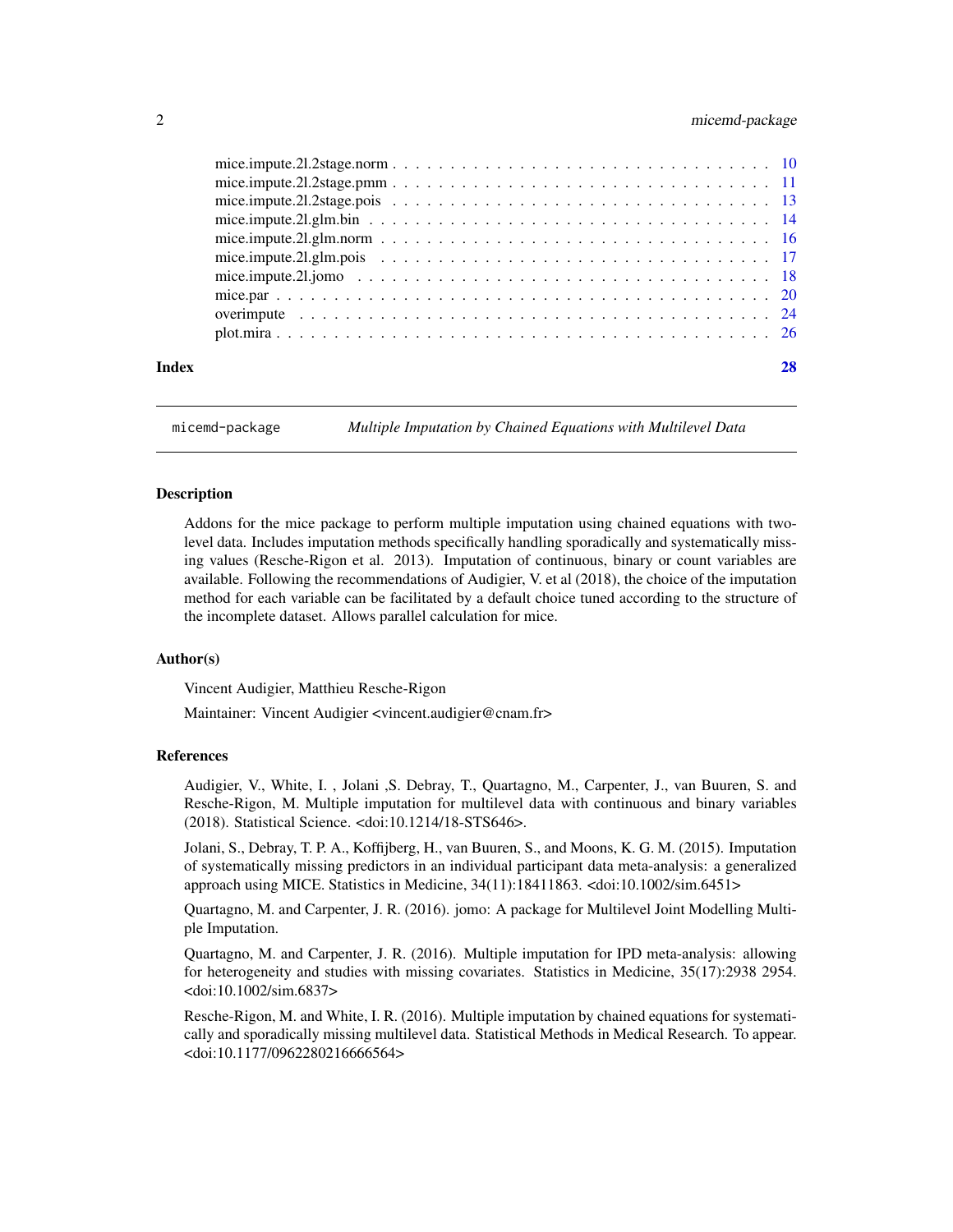# <span id="page-1-0"></span>2 micemd-package

| Index |  |
|-------|--|
|       |  |
|       |  |
|       |  |
|       |  |
|       |  |
|       |  |
|       |  |
|       |  |
|       |  |
|       |  |
|       |  |

micemd-package *Multiple Imputation by Chained Equations with Multilevel Data*

#### Description

Addons for the mice package to perform multiple imputation using chained equations with twolevel data. Includes imputation methods specifically handling sporadically and systematically missing values (Resche-Rigon et al. 2013). Imputation of continuous, binary or count variables are available. Following the recommendations of Audigier, V. et al (2018), the choice of the imputation method for each variable can be facilitated by a default choice tuned according to the structure of the incomplete dataset. Allows parallel calculation for mice.

# Author(s)

Vincent Audigier, Matthieu Resche-Rigon

Maintainer: Vincent Audigier <vincent.audigier@cnam.fr>

#### References

Audigier, V., White, I. , Jolani ,S. Debray, T., Quartagno, M., Carpenter, J., van Buuren, S. and Resche-Rigon, M. Multiple imputation for multilevel data with continuous and binary variables (2018). Statistical Science. <doi:10.1214/18-STS646>.

Jolani, S., Debray, T. P. A., Koffijberg, H., van Buuren, S., and Moons, K. G. M. (2015). Imputation of systematically missing predictors in an individual participant data meta-analysis: a generalized approach using MICE. Statistics in Medicine, 34(11):18411863. <doi:10.1002/sim.6451>

Quartagno, M. and Carpenter, J. R. (2016). jomo: A package for Multilevel Joint Modelling Multiple Imputation.

Quartagno, M. and Carpenter, J. R. (2016). Multiple imputation for IPD meta-analysis: allowing for heterogeneity and studies with missing covariates. Statistics in Medicine, 35(17):2938 2954. <doi:10.1002/sim.6837>

Resche-Rigon, M. and White, I. R. (2016). Multiple imputation by chained equations for systematically and sporadically missing multilevel data. Statistical Methods in Medical Research. To appear. <doi:10.1177/0962280216666564>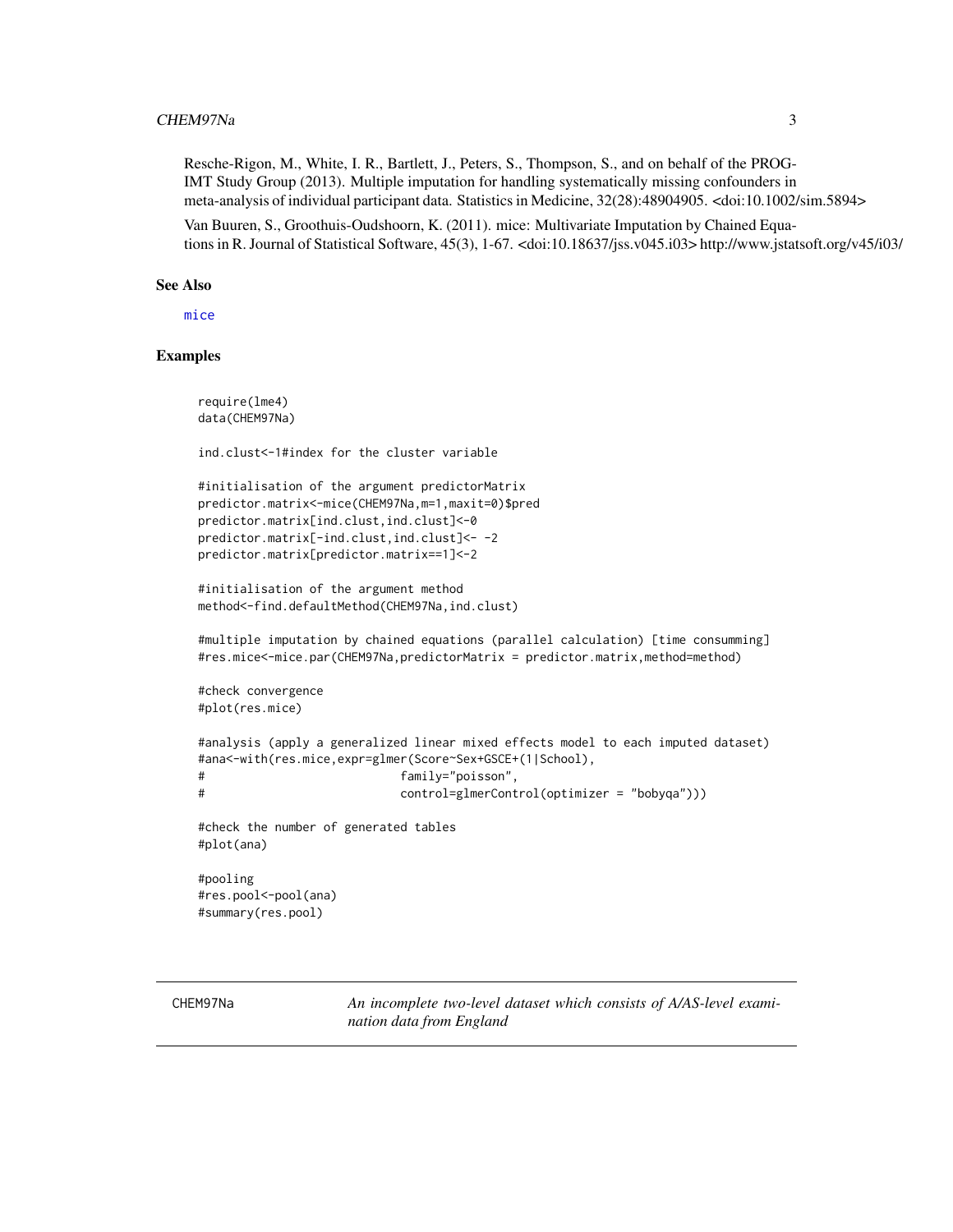<span id="page-2-0"></span>Resche-Rigon, M., White, I. R., Bartlett, J., Peters, S., Thompson, S., and on behalf of the PROG-IMT Study Group (2013). Multiple imputation for handling systematically missing confounders in meta-analysis of individual participant data. Statistics in Medicine, 32(28):48904905. <doi:10.1002/sim.5894>

Van Buuren, S., Groothuis-Oudshoorn, K. (2011). mice: Multivariate Imputation by Chained Equations in R. Journal of Statistical Software, 45(3), 1-67. <doi:10.18637/jss.v045.i03> http://www.jstatsoft.org/v45/i03/

#### See Also

[mice](#page-0-0)

# Examples

require(lme4) data(CHEM97Na)

ind.clust<-1#index for the cluster variable

```
#initialisation of the argument predictorMatrix
predictor.matrix<-mice(CHEM97Na,m=1,maxit=0)$pred
predictor.matrix[ind.clust,ind.clust]<-0
predictor.matrix[-ind.clust,ind.clust]<- -2
predictor.matrix[predictor.matrix==1]<-2
```
#initialisation of the argument method method<-find.defaultMethod(CHEM97Na,ind.clust)

#multiple imputation by chained equations (parallel calculation) [time consumming] #res.mice<-mice.par(CHEM97Na,predictorMatrix = predictor.matrix,method=method)

```
#check convergence
#plot(res.mice)
```

```
#analysis (apply a generalized linear mixed effects model to each imputed dataset)
#ana<-with(res.mice,expr=glmer(Score~Sex+GSCE+(1|School),
# family="poisson",
# control=glmerControl(optimizer = "bobyqa")))
```

```
#check the number of generated tables
```
#plot(ana)

#pooling #res.pool<-pool(ana) #summary(res.pool)

CHEM97Na *An incomplete two-level dataset which consists of A/AS-level examination data from England*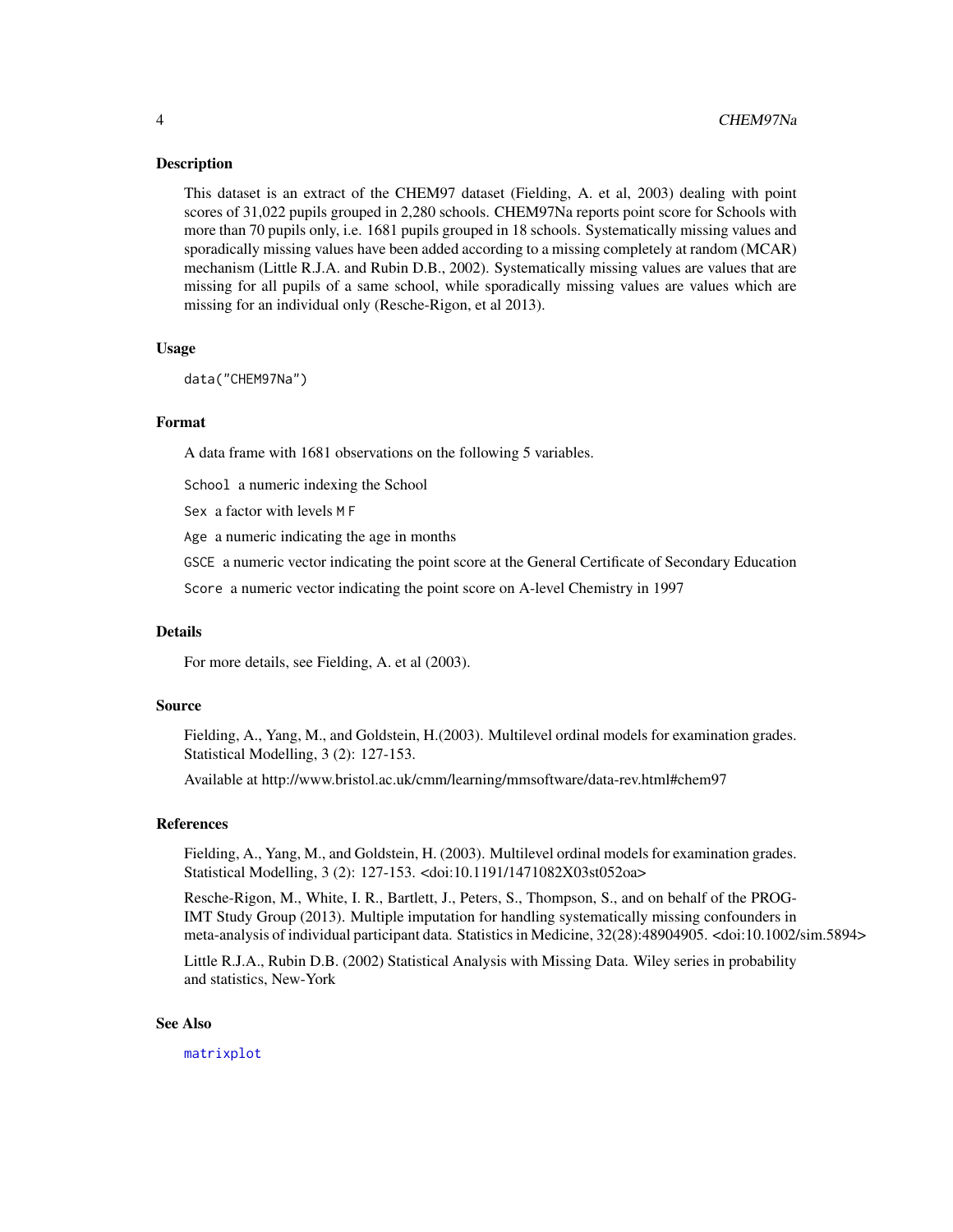#### <span id="page-3-0"></span>Description

This dataset is an extract of the CHEM97 dataset (Fielding, A. et al, 2003) dealing with point scores of 31,022 pupils grouped in 2,280 schools. CHEM97Na reports point score for Schools with more than 70 pupils only, i.e. 1681 pupils grouped in 18 schools. Systematically missing values and sporadically missing values have been added according to a missing completely at random (MCAR) mechanism (Little R.J.A. and Rubin D.B., 2002). Systematically missing values are values that are missing for all pupils of a same school, while sporadically missing values are values which are missing for an individual only (Resche-Rigon, et al 2013).

#### Usage

```
data("CHEM97Na")
```
#### Format

A data frame with 1681 observations on the following 5 variables.

School a numeric indexing the School

Sex a factor with levels M F

Age a numeric indicating the age in months

GSCE a numeric vector indicating the point score at the General Certificate of Secondary Education

Score a numeric vector indicating the point score on A-level Chemistry in 1997

#### Details

For more details, see Fielding, A. et al (2003).

#### Source

Fielding, A., Yang, M., and Goldstein, H.(2003). Multilevel ordinal models for examination grades. Statistical Modelling, 3 (2): 127-153.

Available at http://www.bristol.ac.uk/cmm/learning/mmsoftware/data-rev.html#chem97

# References

Fielding, A., Yang, M., and Goldstein, H. (2003). Multilevel ordinal models for examination grades. Statistical Modelling, 3 (2): 127-153. <doi:10.1191/1471082X03st052oa>

Resche-Rigon, M., White, I. R., Bartlett, J., Peters, S., Thompson, S., and on behalf of the PROG-IMT Study Group (2013). Multiple imputation for handling systematically missing confounders in meta-analysis of individual participant data. Statistics in Medicine, 32(28):48904905. <doi:10.1002/sim.5894>

Little R.J.A., Rubin D.B. (2002) Statistical Analysis with Missing Data. Wiley series in probability and statistics, New-York

#### See Also

[matrixplot](#page-0-0)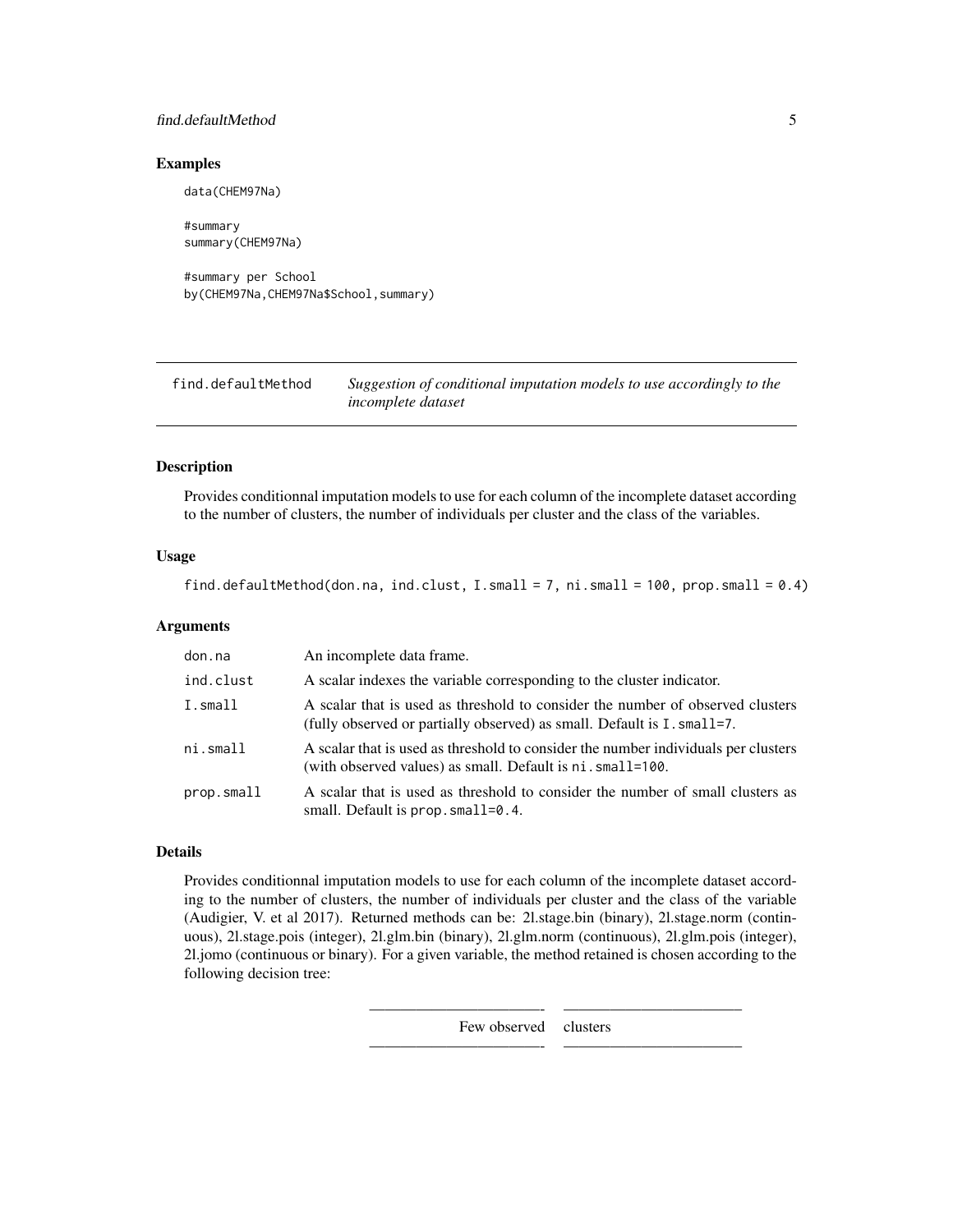# <span id="page-4-0"></span>find.defaultMethod 5

#### Examples

data(CHEM97Na)

#summary summary(CHEM97Na)

#summary per School by(CHEM97Na,CHEM97Na\$School,summary)

| find.defaultMethod | Suggestion of conditional imputation models to use accordingly to the |
|--------------------|-----------------------------------------------------------------------|
|                    | <i>incomplete dataset</i>                                             |

#### Description

Provides conditionnal imputation models to use for each column of the incomplete dataset according to the number of clusters, the number of individuals per cluster and the class of the variables.

# Usage

find.defaultMethod(don.na, ind.clust, I.small = 7, ni.small = 100, prop.small = 0.4)

#### Arguments

| don.na     | An incomplete data frame.                                                                                                                                 |
|------------|-----------------------------------------------------------------------------------------------------------------------------------------------------------|
| ind.clust  | A scalar indexes the variable corresponding to the cluster indicator.                                                                                     |
| I.small    | A scalar that is used as threshold to consider the number of observed clusters<br>(fully observed or partially observed) as small. Default is I. small=7. |
| ni.small   | A scalar that is used as threshold to consider the number individuals per clusters<br>(with observed values) as small. Default is ni. small=100.          |
| prop.small | A scalar that is used as threshold to consider the number of small clusters as<br>small. Default is $prop. small=0.4$ .                                   |

# Details

Provides conditionnal imputation models to use for each column of the incomplete dataset according to the number of clusters, the number of individuals per cluster and the class of the variable (Audigier, V. et al 2017). Returned methods can be: 2l.stage.bin (binary), 2l.stage.norm (continuous), 2l.stage.pois (integer), 2l.glm.bin (binary), 2l.glm.norm (continuous), 2l.glm.pois (integer), 2l.jomo (continuous or binary). For a given variable, the method retained is chosen according to the following decision tree:

Few observed clusters

———————————- ———————————–

———————————- ———————————–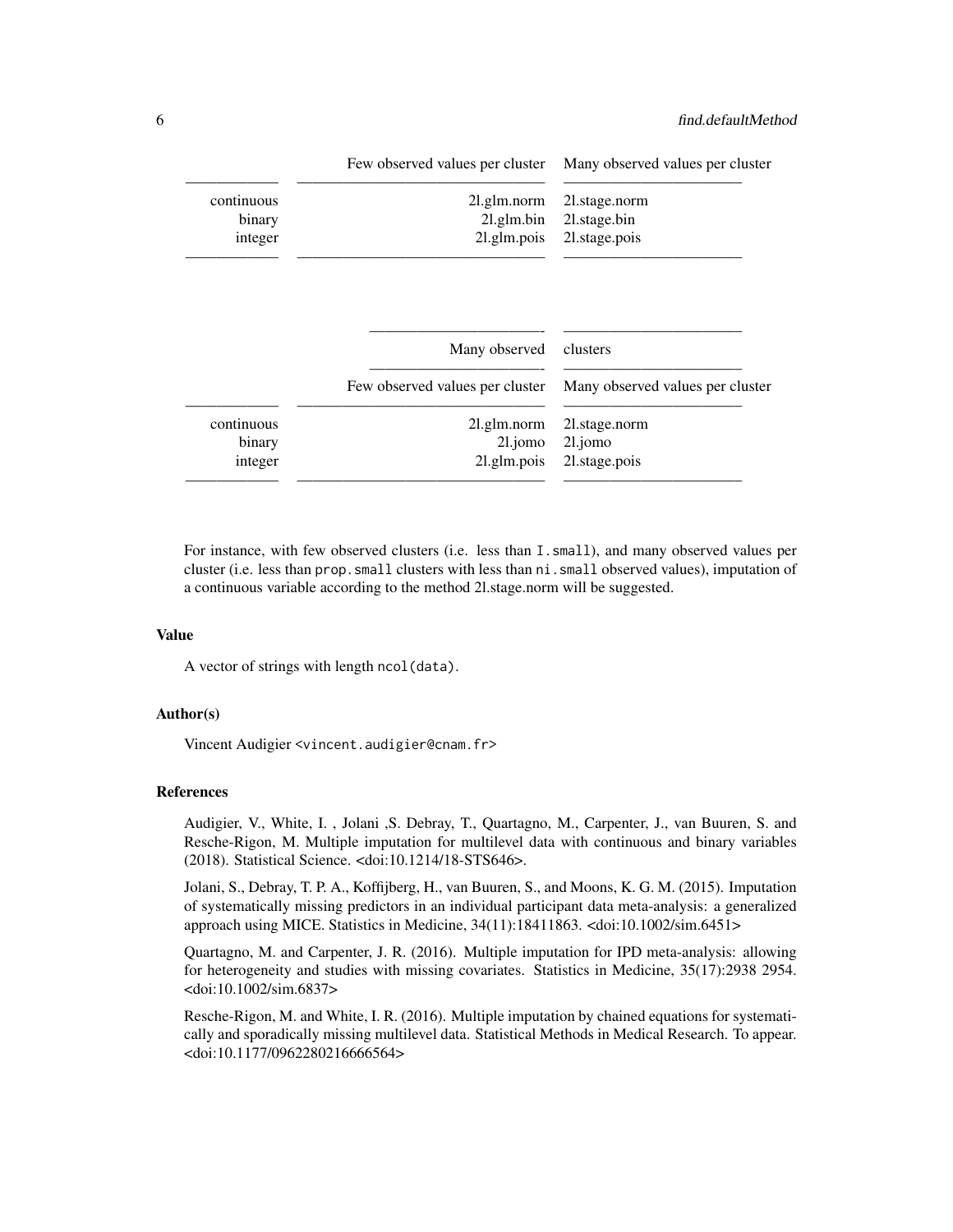|            | Few observed values per cluster                  | Many observed values per cluster             |
|------------|--------------------------------------------------|----------------------------------------------|
| continuous | 21.glm.norm                                      | 21.stage.norm                                |
| binary     | $2l$ .glm.bin                                    | 21.stage.bin                                 |
| integer    | 21.glm.pois                                      | 21.stage.pois                                |
|            | Many observed<br>Few observed values per cluster | clusters<br>Many observed values per cluster |
| continuous | 21.glm.norm                                      | 21. stage.norm                               |
| binary     | $21$ .jomo                                       | 21.jomo                                      |
| integer    | 21.glm.pois                                      | 21. stage.pois                               |
|            |                                                  |                                              |

For instance, with few observed clusters (i.e. less than I.small), and many observed values per cluster (i.e. less than prop.small clusters with less than ni.small observed values), imputation of a continuous variable according to the method 2l.stage.norm will be suggested.

# Value

A vector of strings with length ncol(data).

#### Author(s)

Vincent Audigier <vincent.audigier@cnam.fr>

#### References

Audigier, V., White, I. , Jolani ,S. Debray, T., Quartagno, M., Carpenter, J., van Buuren, S. and Resche-Rigon, M. Multiple imputation for multilevel data with continuous and binary variables (2018). Statistical Science. <doi:10.1214/18-STS646>.

Jolani, S., Debray, T. P. A., Koffijberg, H., van Buuren, S., and Moons, K. G. M. (2015). Imputation of systematically missing predictors in an individual participant data meta-analysis: a generalized approach using MICE. Statistics in Medicine, 34(11):18411863. <doi:10.1002/sim.6451>

Quartagno, M. and Carpenter, J. R. (2016). Multiple imputation for IPD meta-analysis: allowing for heterogeneity and studies with missing covariates. Statistics in Medicine, 35(17):2938 2954. <doi:10.1002/sim.6837>

Resche-Rigon, M. and White, I. R. (2016). Multiple imputation by chained equations for systematically and sporadically missing multilevel data. Statistical Methods in Medical Research. To appear. <doi:10.1177/0962280216666564>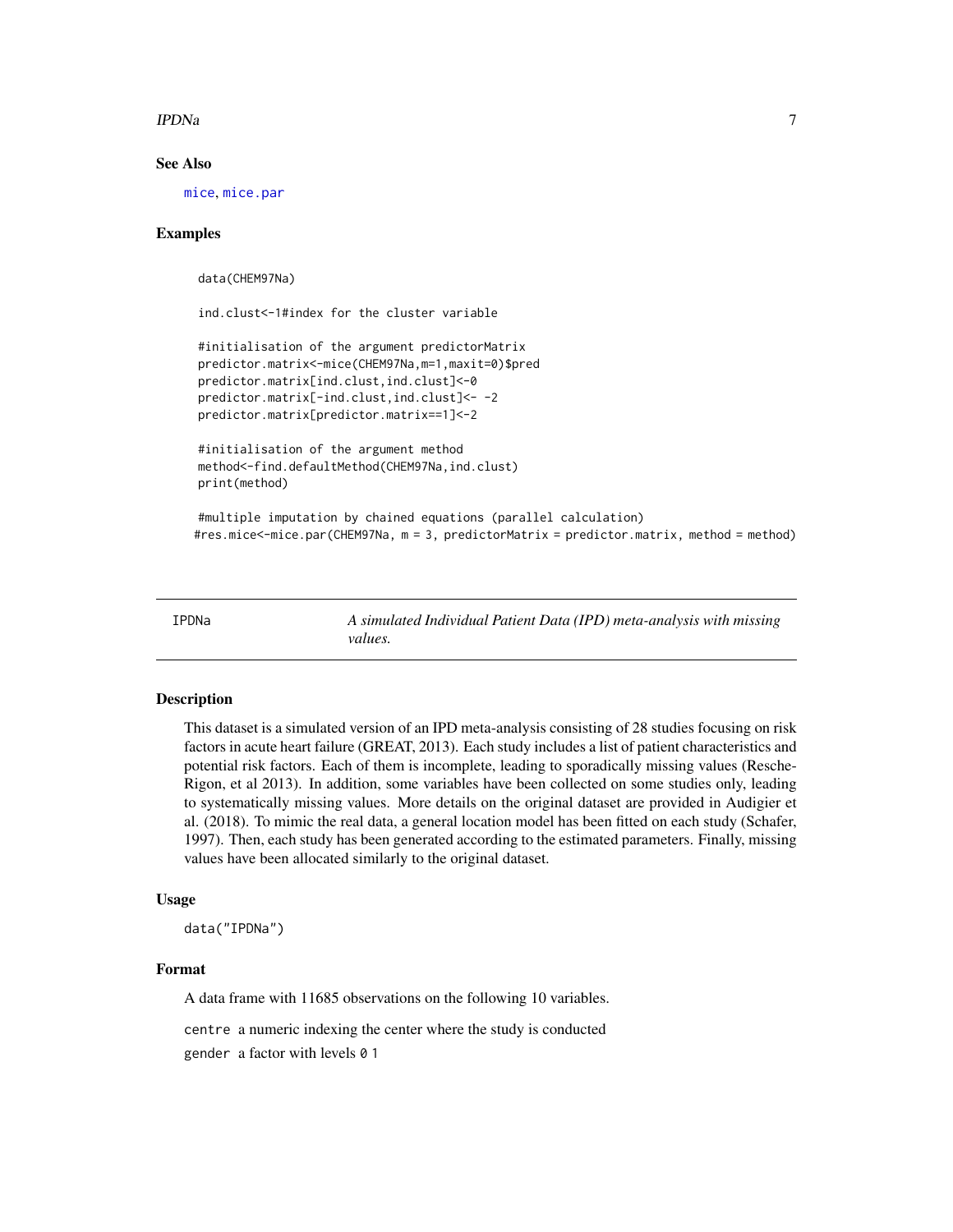#### <span id="page-6-0"></span>IPDNa 7

# See Also

[mice](#page-0-0), [mice.par](#page-19-1)

### Examples

data(CHEM97Na)

ind.clust<-1#index for the cluster variable

```
#initialisation of the argument predictorMatrix
predictor.matrix<-mice(CHEM97Na,m=1,maxit=0)$pred
predictor.matrix[ind.clust,ind.clust]<-0
predictor.matrix[-ind.clust,ind.clust]<- -2
predictor.matrix[predictor.matrix==1]<-2
```

```
#initialisation of the argument method
method<-find.defaultMethod(CHEM97Na, ind.clust)
print(method)
```
#multiple imputation by chained equations (parallel calculation) #res.mice<-mice.par(CHEM97Na, m = 3, predictorMatrix = predictor.matrix, method = method)

IPDNa *A simulated Individual Patient Data (IPD) meta-analysis with missing values.*

# Description

This dataset is a simulated version of an IPD meta-analysis consisting of 28 studies focusing on risk factors in acute heart failure (GREAT, 2013). Each study includes a list of patient characteristics and potential risk factors. Each of them is incomplete, leading to sporadically missing values (Resche-Rigon, et al 2013). In addition, some variables have been collected on some studies only, leading to systematically missing values. More details on the original dataset are provided in Audigier et al. (2018). To mimic the real data, a general location model has been fitted on each study (Schafer, 1997). Then, each study has been generated according to the estimated parameters. Finally, missing values have been allocated similarly to the original dataset.

# Usage

data("IPDNa")

#### Format

A data frame with 11685 observations on the following 10 variables.

centre a numeric indexing the center where the study is conducted

gender a factor with levels 0 1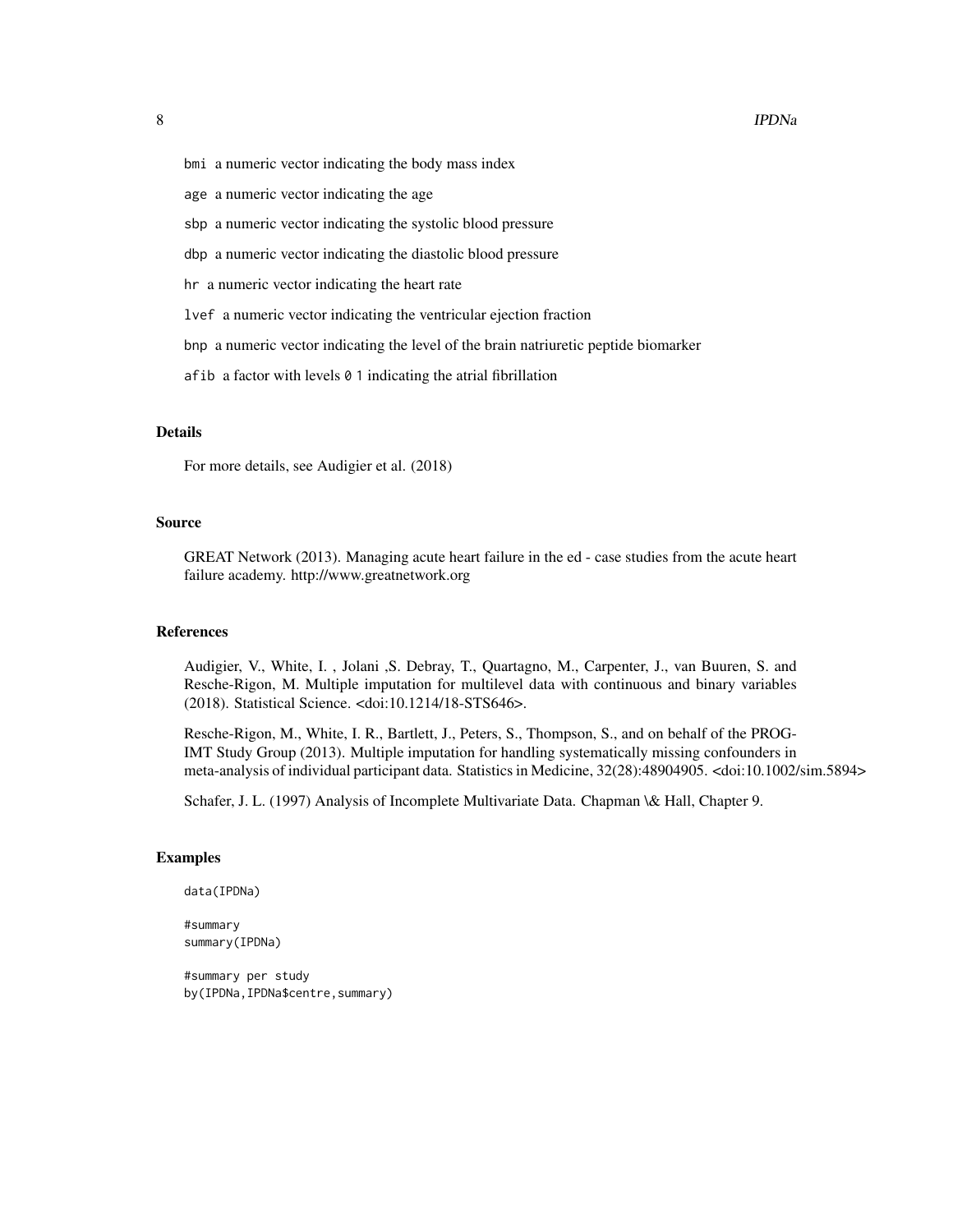- bmi a numeric vector indicating the body mass index
- age a numeric vector indicating the age
- sbp a numeric vector indicating the systolic blood pressure
- dbp a numeric vector indicating the diastolic blood pressure
- hr a numeric vector indicating the heart rate
- lvef a numeric vector indicating the ventricular ejection fraction
- bnp a numeric vector indicating the level of the brain natriuretic peptide biomarker
- afib a factor with levels 0 1 indicating the atrial fibrillation

#### Details

For more details, see Audigier et al. (2018)

#### Source

GREAT Network (2013). Managing acute heart failure in the ed - case studies from the acute heart failure academy. http://www.greatnetwork.org

#### References

Audigier, V., White, I. , Jolani ,S. Debray, T., Quartagno, M., Carpenter, J., van Buuren, S. and Resche-Rigon, M. Multiple imputation for multilevel data with continuous and binary variables (2018). Statistical Science. <doi:10.1214/18-STS646>.

Resche-Rigon, M., White, I. R., Bartlett, J., Peters, S., Thompson, S., and on behalf of the PROG-IMT Study Group (2013). Multiple imputation for handling systematically missing confounders in meta-analysis of individual participant data. Statistics in Medicine, 32(28):48904905. <doi:10.1002/sim.5894>

Schafer, J. L. (1997) Analysis of Incomplete Multivariate Data. Chapman \& Hall, Chapter 9.

#### Examples

data(IPDNa)

#summary summary(IPDNa)

#summary per study by(IPDNa,IPDNa\$centre,summary)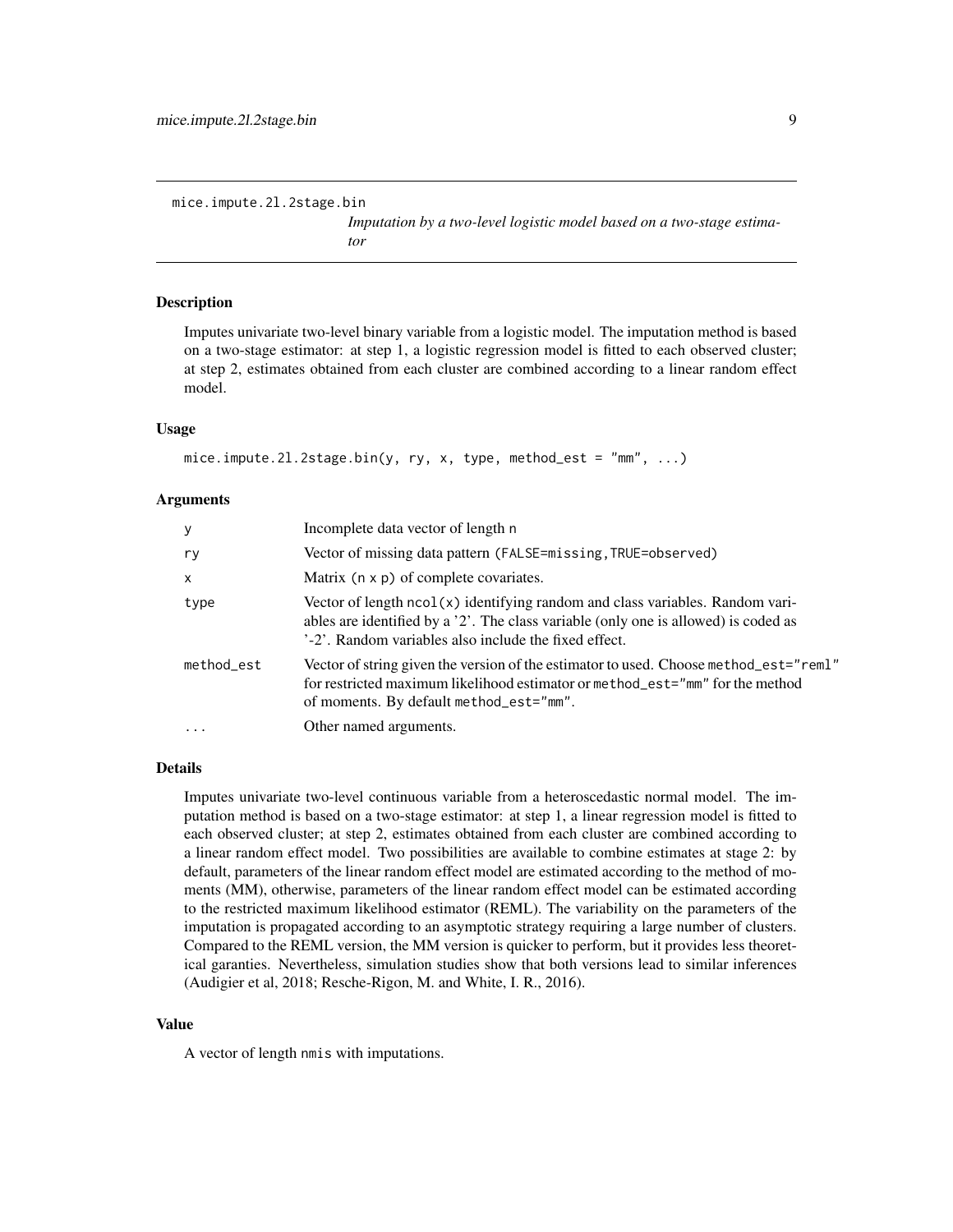*Imputation by a two-level logistic model based on a two-stage estimator*

#### <span id="page-8-1"></span><span id="page-8-0"></span>Description

Imputes univariate two-level binary variable from a logistic model. The imputation method is based on a two-stage estimator: at step 1, a logistic regression model is fitted to each observed cluster; at step 2, estimates obtained from each cluster are combined according to a linear random effect model.

#### Usage

```
mice.impute.2l.2stage.bin(y, ry, x, type, method_est = "mm", ...)
```
#### Arguments

| У          | Incomplete data vector of length n                                                                                                                                                                                            |
|------------|-------------------------------------------------------------------------------------------------------------------------------------------------------------------------------------------------------------------------------|
| ry         | Vector of missing data pattern (FALSE=missing, TRUE=observed)                                                                                                                                                                 |
| X          | Matrix $(n \times p)$ of complete covariates.                                                                                                                                                                                 |
| type       | Vector of length ncol(x) identifying random and class variables. Random vari-<br>ables are identified by a '2'. The class variable (only one is allowed) is coded as<br>'-2'. Random variables also include the fixed effect. |
| method_est | Vector of string given the version of the estimator to used. Choose method_est="reml"<br>for restricted maximum likelihood estimator or method_est="mm" for the method<br>of moments. By default method_est="mm".             |
| .          | Other named arguments.                                                                                                                                                                                                        |

# Details

Imputes univariate two-level continuous variable from a heteroscedastic normal model. The imputation method is based on a two-stage estimator: at step 1, a linear regression model is fitted to each observed cluster; at step 2, estimates obtained from each cluster are combined according to a linear random effect model. Two possibilities are available to combine estimates at stage 2: by default, parameters of the linear random effect model are estimated according to the method of moments (MM), otherwise, parameters of the linear random effect model can be estimated according to the restricted maximum likelihood estimator (REML). The variability on the parameters of the imputation is propagated according to an asymptotic strategy requiring a large number of clusters. Compared to the REML version, the MM version is quicker to perform, but it provides less theoretical garanties. Nevertheless, simulation studies show that both versions lead to similar inferences (Audigier et al, 2018; Resche-Rigon, M. and White, I. R., 2016).

#### Value

A vector of length nmis with imputations.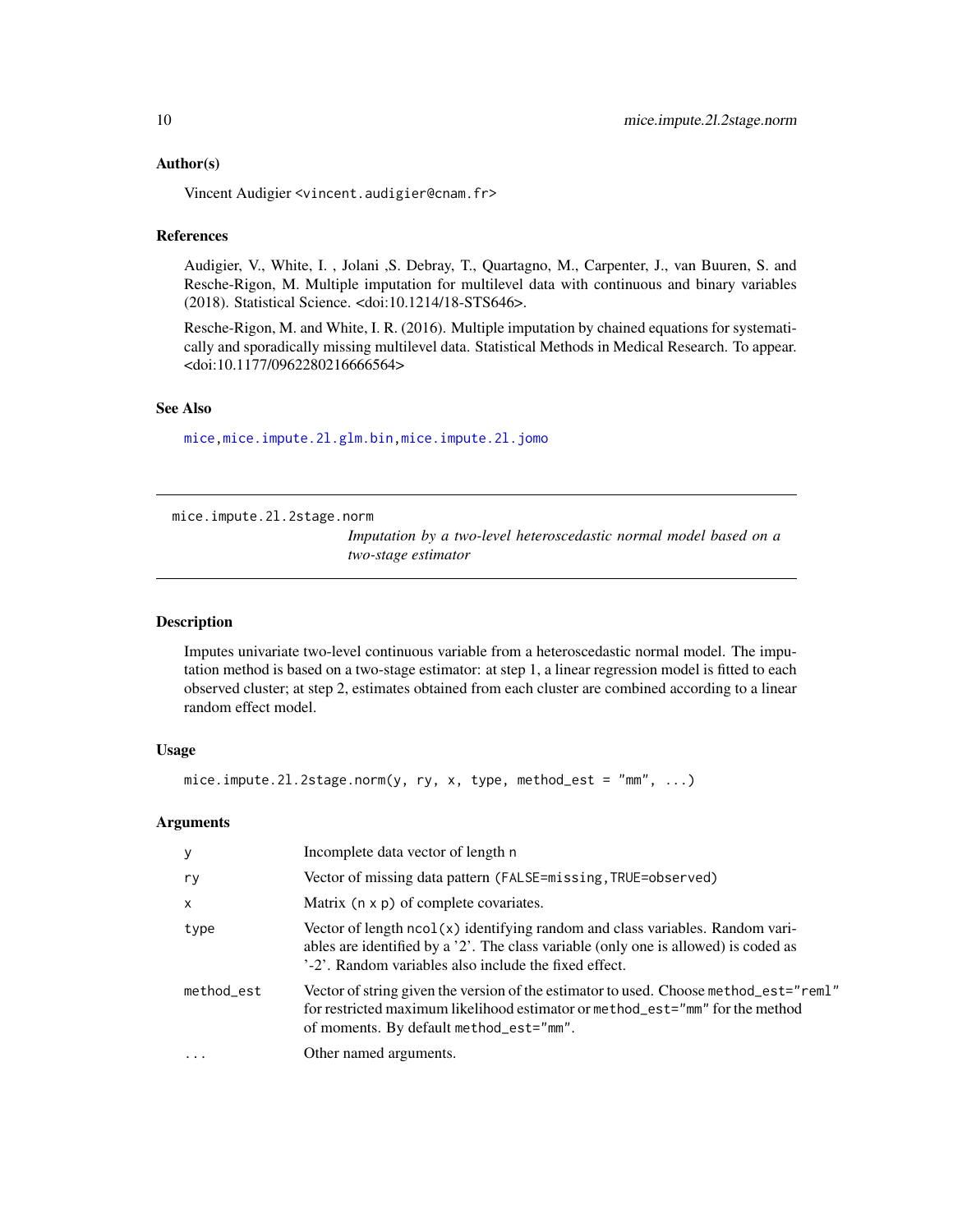#### <span id="page-9-0"></span>Author(s)

Vincent Audigier <vincent.audigier@cnam.fr>

#### References

Audigier, V., White, I. , Jolani ,S. Debray, T., Quartagno, M., Carpenter, J., van Buuren, S. and Resche-Rigon, M. Multiple imputation for multilevel data with continuous and binary variables (2018). Statistical Science. <doi:10.1214/18-STS646>.

Resche-Rigon, M. and White, I. R. (2016). Multiple imputation by chained equations for systematically and sporadically missing multilevel data. Statistical Methods in Medical Research. To appear. <doi:10.1177/0962280216666564>

# See Also

[mice](#page-0-0)[,mice.impute.2l.glm.bin,](#page-13-1)[mice.impute.2l.jomo](#page-17-1)

<span id="page-9-1"></span>mice.impute.2l.2stage.norm

*Imputation by a two-level heteroscedastic normal model based on a two-stage estimator*

#### Description

Imputes univariate two-level continuous variable from a heteroscedastic normal model. The imputation method is based on a two-stage estimator: at step 1, a linear regression model is fitted to each observed cluster; at step 2, estimates obtained from each cluster are combined according to a linear random effect model.

#### Usage

```
mice.impute.2l.2stage.norm(y, ry, x, type, method_est = "mm", ...)
```
# Arguments

| y          | Incomplete data vector of length n                                                                                                                                                                                            |
|------------|-------------------------------------------------------------------------------------------------------------------------------------------------------------------------------------------------------------------------------|
| ry         | Vector of missing data pattern (FALSE=missing, TRUE=observed)                                                                                                                                                                 |
| $\times$   | Matrix $(n \times p)$ of complete covariates.                                                                                                                                                                                 |
| type       | Vector of length ncol(x) identifying random and class variables. Random vari-<br>ables are identified by a '2'. The class variable (only one is allowed) is coded as<br>'-2'. Random variables also include the fixed effect. |
| method_est | Vector of string given the version of the estimator to used. Choose method_est="reml"<br>for restricted maximum likelihood estimator or method_est="mm" for the method<br>of moments. By default method_est="mm".             |
| $\ddots$   | Other named arguments.                                                                                                                                                                                                        |
|            |                                                                                                                                                                                                                               |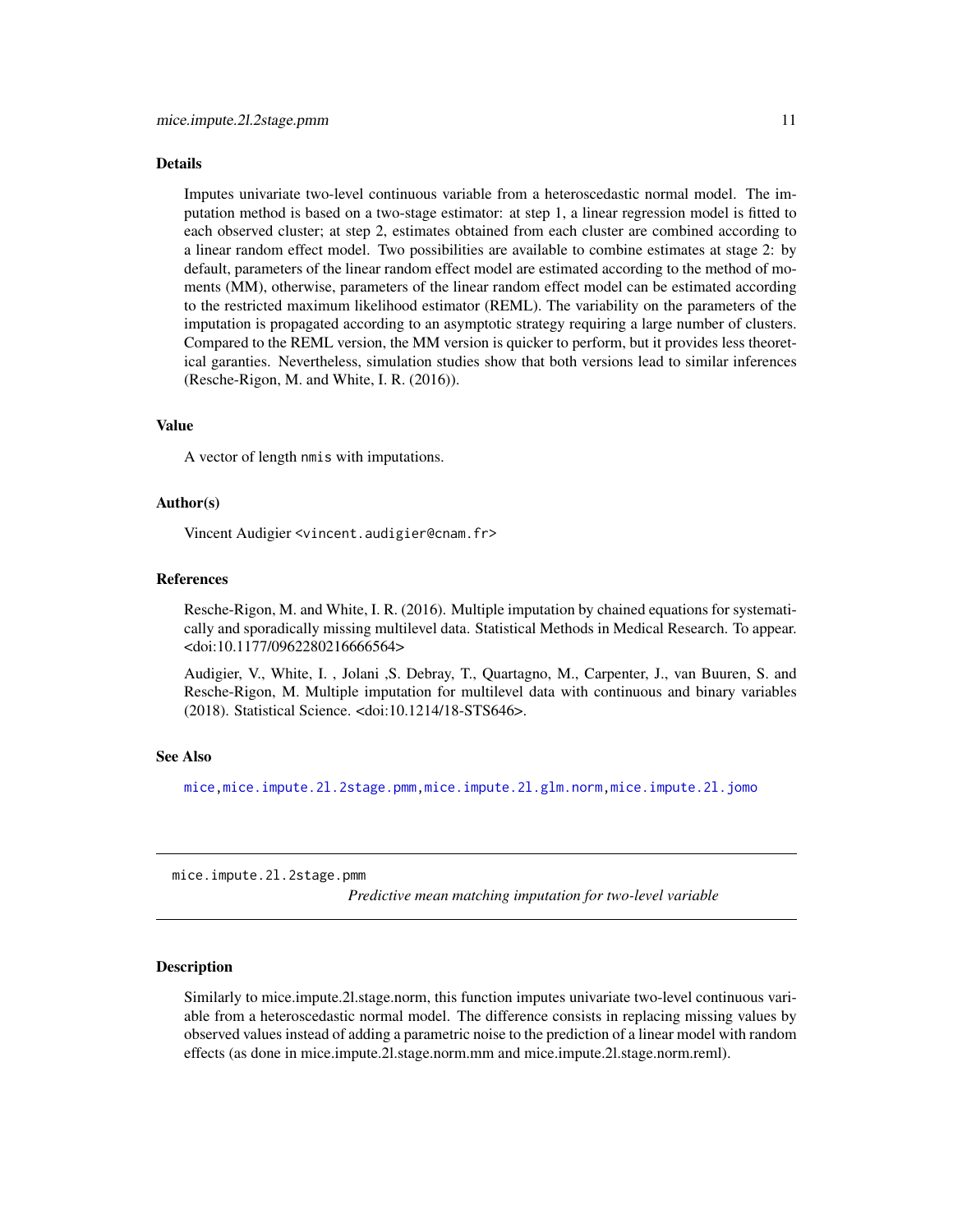#### <span id="page-10-0"></span>Details

Imputes univariate two-level continuous variable from a heteroscedastic normal model. The imputation method is based on a two-stage estimator: at step 1, a linear regression model is fitted to each observed cluster; at step 2, estimates obtained from each cluster are combined according to a linear random effect model. Two possibilities are available to combine estimates at stage 2: by default, parameters of the linear random effect model are estimated according to the method of moments (MM), otherwise, parameters of the linear random effect model can be estimated according to the restricted maximum likelihood estimator (REML). The variability on the parameters of the imputation is propagated according to an asymptotic strategy requiring a large number of clusters. Compared to the REML version, the MM version is quicker to perform, but it provides less theoretical garanties. Nevertheless, simulation studies show that both versions lead to similar inferences (Resche-Rigon, M. and White, I. R. (2016)).

#### Value

A vector of length nmis with imputations.

### Author(s)

Vincent Audigier <vincent.audigier@cnam.fr>

#### References

Resche-Rigon, M. and White, I. R. (2016). Multiple imputation by chained equations for systematically and sporadically missing multilevel data. Statistical Methods in Medical Research. To appear. <doi:10.1177/0962280216666564>

Audigier, V., White, I. , Jolani ,S. Debray, T., Quartagno, M., Carpenter, J., van Buuren, S. and Resche-Rigon, M. Multiple imputation for multilevel data with continuous and binary variables (2018). Statistical Science. <doi:10.1214/18-STS646>.

#### See Also

[mice](#page-0-0)[,mice.impute.2l.2stage.pmm,](#page-10-1)[mice.impute.2l.glm.norm](#page-15-1)[,mice.impute.2l.jomo](#page-17-1)

<span id="page-10-1"></span>mice.impute.2l.2stage.pmm

*Predictive mean matching imputation for two-level variable*

# **Description**

Similarly to mice.impute.2l.stage.norm, this function imputes univariate two-level continuous variable from a heteroscedastic normal model. The difference consists in replacing missing values by observed values instead of adding a parametric noise to the prediction of a linear model with random effects (as done in mice.impute.2l.stage.norm.mm and mice.impute.2l.stage.norm.reml).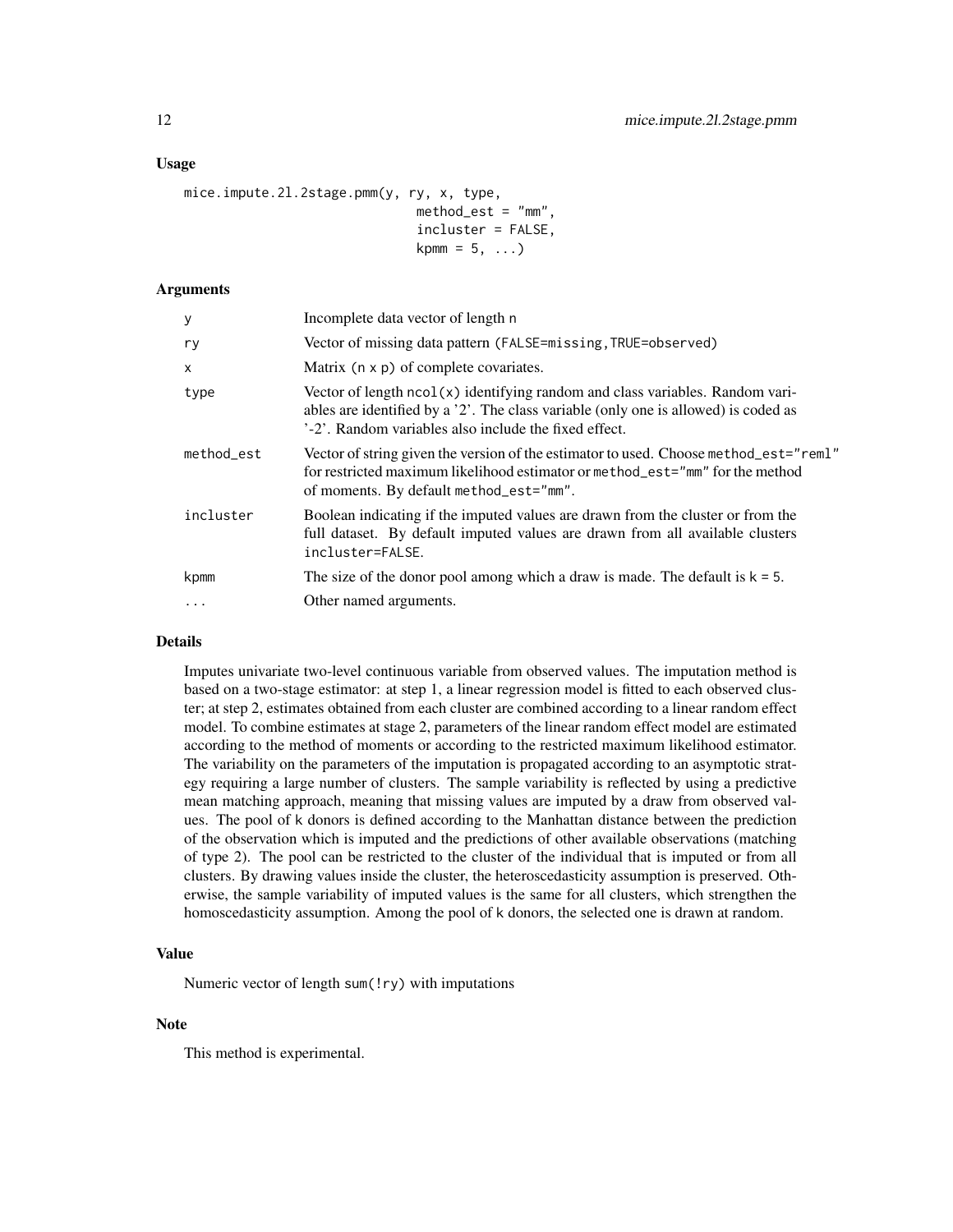# Usage

```
mice.impute.2l.2stage.pmm(y, ry, x, type,
                               method\_est = "mm".
                               incluster = FALSE,
                               kpm = 5, \ldots)
```
# Arguments

| У          | Incomplete data vector of length n                                                                                                                                                                                              |
|------------|---------------------------------------------------------------------------------------------------------------------------------------------------------------------------------------------------------------------------------|
| ry         | Vector of missing data pattern (FALSE=missing, TRUE=observed)                                                                                                                                                                   |
| X          | Matrix $(n \times p)$ of complete covariates.                                                                                                                                                                                   |
| type       | Vector of length $ncol(x)$ identifying random and class variables. Random vari-<br>ables are identified by a '2'. The class variable (only one is allowed) is coded as<br>'-2'. Random variables also include the fixed effect. |
| method_est | Vector of string given the version of the estimator to used. Choose method_est="rem1"<br>for restricted maximum likelihood estimator or method_est="mm" for the method<br>of moments. By default method_est="mm".               |
| incluster  | Boolean indicating if the imputed values are drawn from the cluster or from the<br>full dataset. By default imputed values are drawn from all available clusters<br>incluster=FALSE.                                            |
| kpmm       | The size of the donor pool among which a draw is made. The default is $k = 5$ .                                                                                                                                                 |
| $\ddots$   | Other named arguments.                                                                                                                                                                                                          |

# Details

Imputes univariate two-level continuous variable from observed values. The imputation method is based on a two-stage estimator: at step 1, a linear regression model is fitted to each observed cluster; at step 2, estimates obtained from each cluster are combined according to a linear random effect model. To combine estimates at stage 2, parameters of the linear random effect model are estimated according to the method of moments or according to the restricted maximum likelihood estimator. The variability on the parameters of the imputation is propagated according to an asymptotic strategy requiring a large number of clusters. The sample variability is reflected by using a predictive mean matching approach, meaning that missing values are imputed by a draw from observed values. The pool of k donors is defined according to the Manhattan distance between the prediction of the observation which is imputed and the predictions of other available observations (matching of type 2). The pool can be restricted to the cluster of the individual that is imputed or from all clusters. By drawing values inside the cluster, the heteroscedasticity assumption is preserved. Otherwise, the sample variability of imputed values is the same for all clusters, which strengthen the homoscedasticity assumption. Among the pool of k donors, the selected one is drawn at random.

### Value

Numeric vector of length sum(!ry) with imputations

#### **Note**

This method is experimental.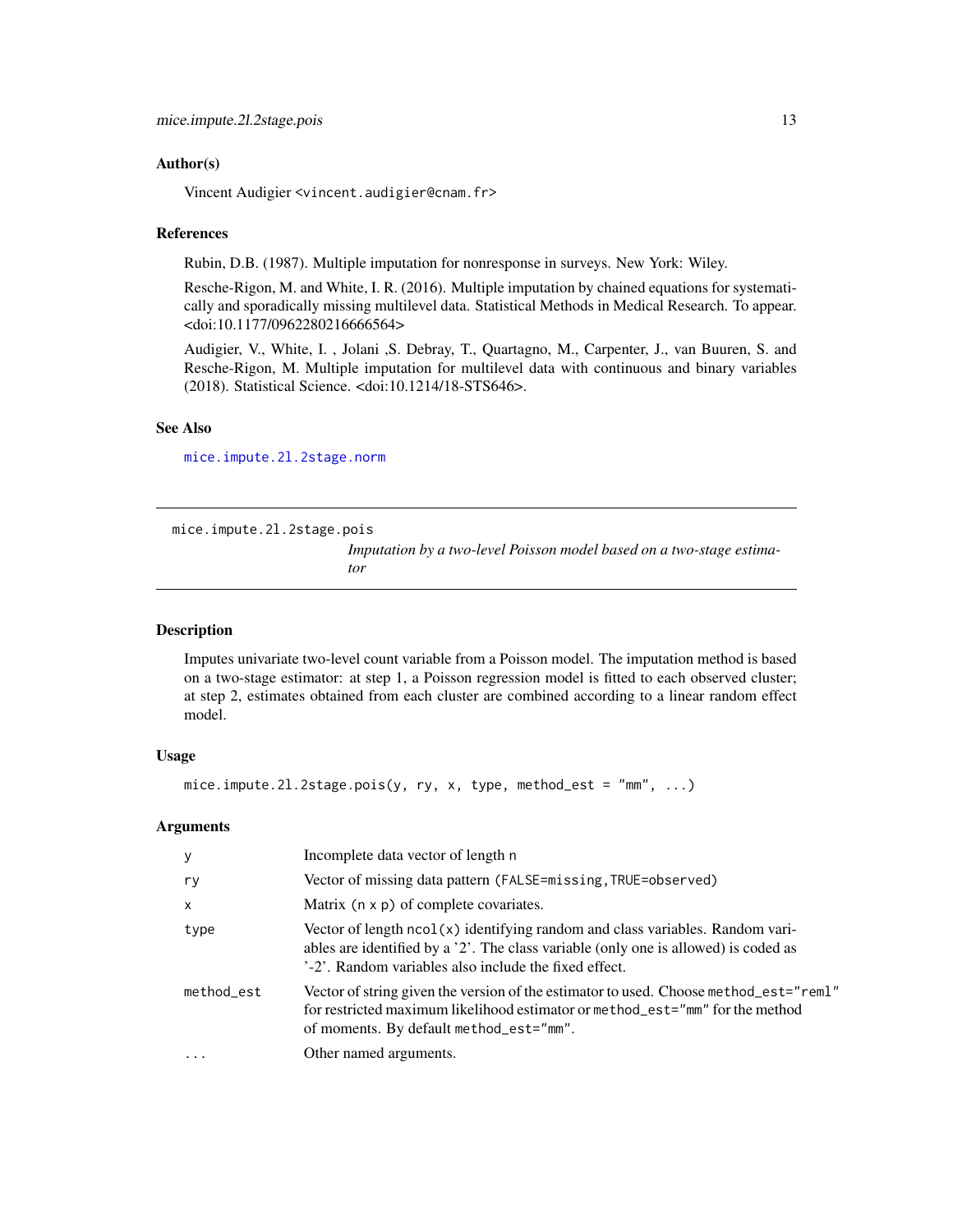### <span id="page-12-0"></span>Author(s)

Vincent Audigier <vincent.audigier@cnam.fr>

#### References

Rubin, D.B. (1987). Multiple imputation for nonresponse in surveys. New York: Wiley.

Resche-Rigon, M. and White, I. R. (2016). Multiple imputation by chained equations for systematically and sporadically missing multilevel data. Statistical Methods in Medical Research. To appear. <doi:10.1177/0962280216666564>

Audigier, V., White, I. , Jolani ,S. Debray, T., Quartagno, M., Carpenter, J., van Buuren, S. and Resche-Rigon, M. Multiple imputation for multilevel data with continuous and binary variables (2018). Statistical Science. <doi:10.1214/18-STS646>.

# See Also

[mice.impute.2l.2stage.norm](#page-9-1)

<span id="page-12-1"></span>mice.impute.2l.2stage.pois

*Imputation by a two-level Poisson model based on a two-stage estimator*

#### Description

Imputes univariate two-level count variable from a Poisson model. The imputation method is based on a two-stage estimator: at step 1, a Poisson regression model is fitted to each observed cluster; at step 2, estimates obtained from each cluster are combined according to a linear random effect model.

#### Usage

```
mice.impute.2l.2stage.pois(y, ry, x, type, method_est = "mm", ...)
```
#### Arguments

| y            | Incomplete data vector of length n                                                                                                                                                                                            |
|--------------|-------------------------------------------------------------------------------------------------------------------------------------------------------------------------------------------------------------------------------|
| ry           | Vector of missing data pattern (FALSE=missing, TRUE=observed)                                                                                                                                                                 |
| $\mathsf{x}$ | Matrix $(n \times p)$ of complete covariates.                                                                                                                                                                                 |
| type         | Vector of length ncol(x) identifying random and class variables. Random vari-<br>ables are identified by a '2'. The class variable (only one is allowed) is coded as<br>'-2'. Random variables also include the fixed effect. |
| method_est   | Vector of string given the version of the estimator to used. Choose method_est="reml"<br>for restricted maximum likelihood estimator or method_est="mm" for the method<br>of moments. By default method_est="mm".             |
| $\ddotsc$    | Other named arguments.                                                                                                                                                                                                        |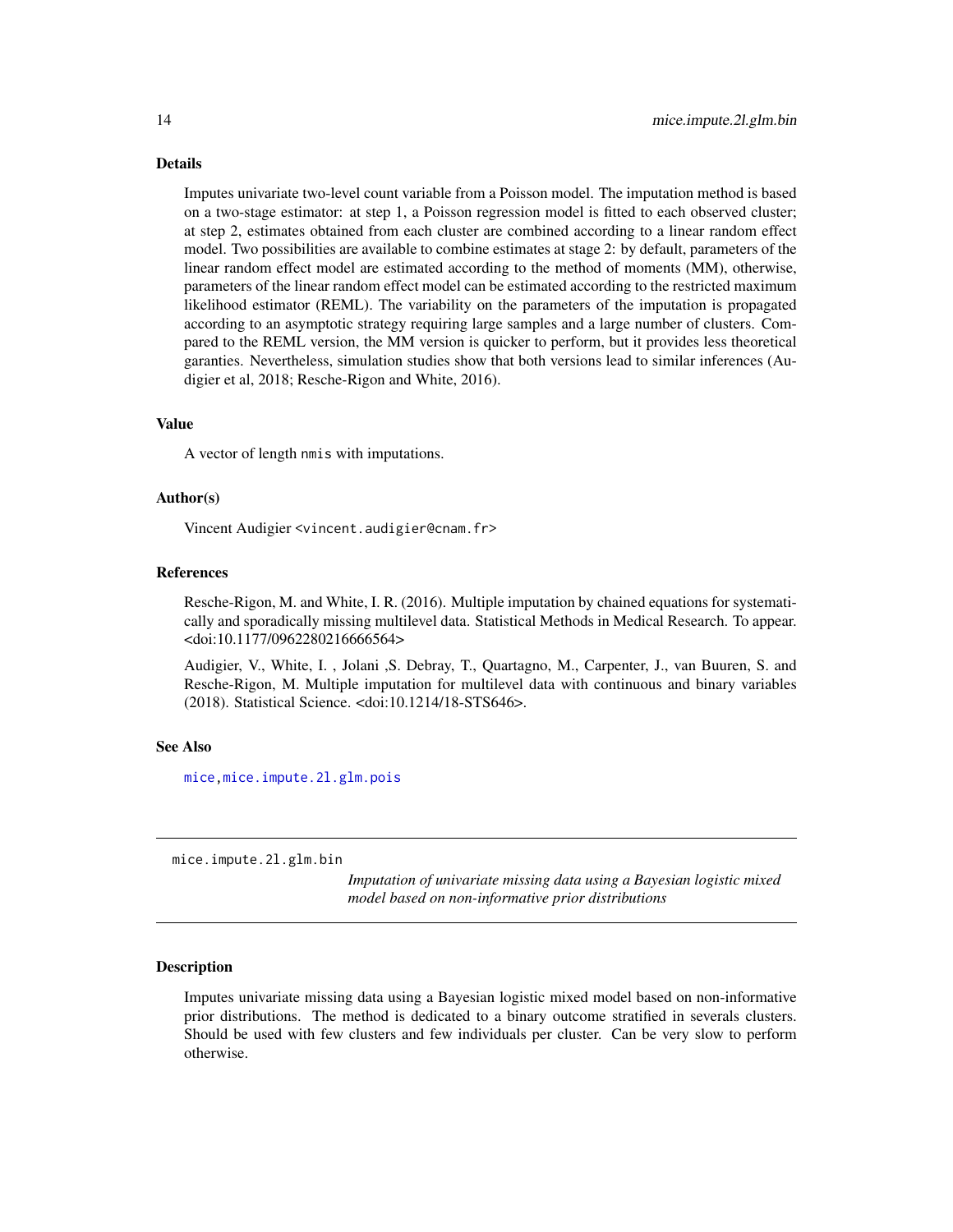Details

Imputes univariate two-level count variable from a Poisson model. The imputation method is based on a two-stage estimator: at step 1, a Poisson regression model is fitted to each observed cluster; at step 2, estimates obtained from each cluster are combined according to a linear random effect model. Two possibilities are available to combine estimates at stage 2: by default, parameters of the linear random effect model are estimated according to the method of moments (MM), otherwise, parameters of the linear random effect model can be estimated according to the restricted maximum likelihood estimator (REML). The variability on the parameters of the imputation is propagated according to an asymptotic strategy requiring large samples and a large number of clusters. Compared to the REML version, the MM version is quicker to perform, but it provides less theoretical garanties. Nevertheless, simulation studies show that both versions lead to similar inferences (Audigier et al, 2018; Resche-Rigon and White, 2016).

#### Value

A vector of length nmis with imputations.

# Author(s)

Vincent Audigier <vincent.audigier@cnam.fr>

# References

Resche-Rigon, M. and White, I. R. (2016). Multiple imputation by chained equations for systematically and sporadically missing multilevel data. Statistical Methods in Medical Research. To appear. <doi:10.1177/0962280216666564>

Audigier, V., White, I. , Jolani ,S. Debray, T., Quartagno, M., Carpenter, J., van Buuren, S. and Resche-Rigon, M. Multiple imputation for multilevel data with continuous and binary variables (2018). Statistical Science. <doi:10.1214/18-STS646>.

#### See Also

[mice](#page-0-0)[,mice.impute.2l.glm.pois](#page-16-1)

<span id="page-13-1"></span>mice.impute.2l.glm.bin

*Imputation of univariate missing data using a Bayesian logistic mixed model based on non-informative prior distributions*

#### Description

Imputes univariate missing data using a Bayesian logistic mixed model based on non-informative prior distributions. The method is dedicated to a binary outcome stratified in severals clusters. Should be used with few clusters and few individuals per cluster. Can be very slow to perform otherwise.

<span id="page-13-0"></span>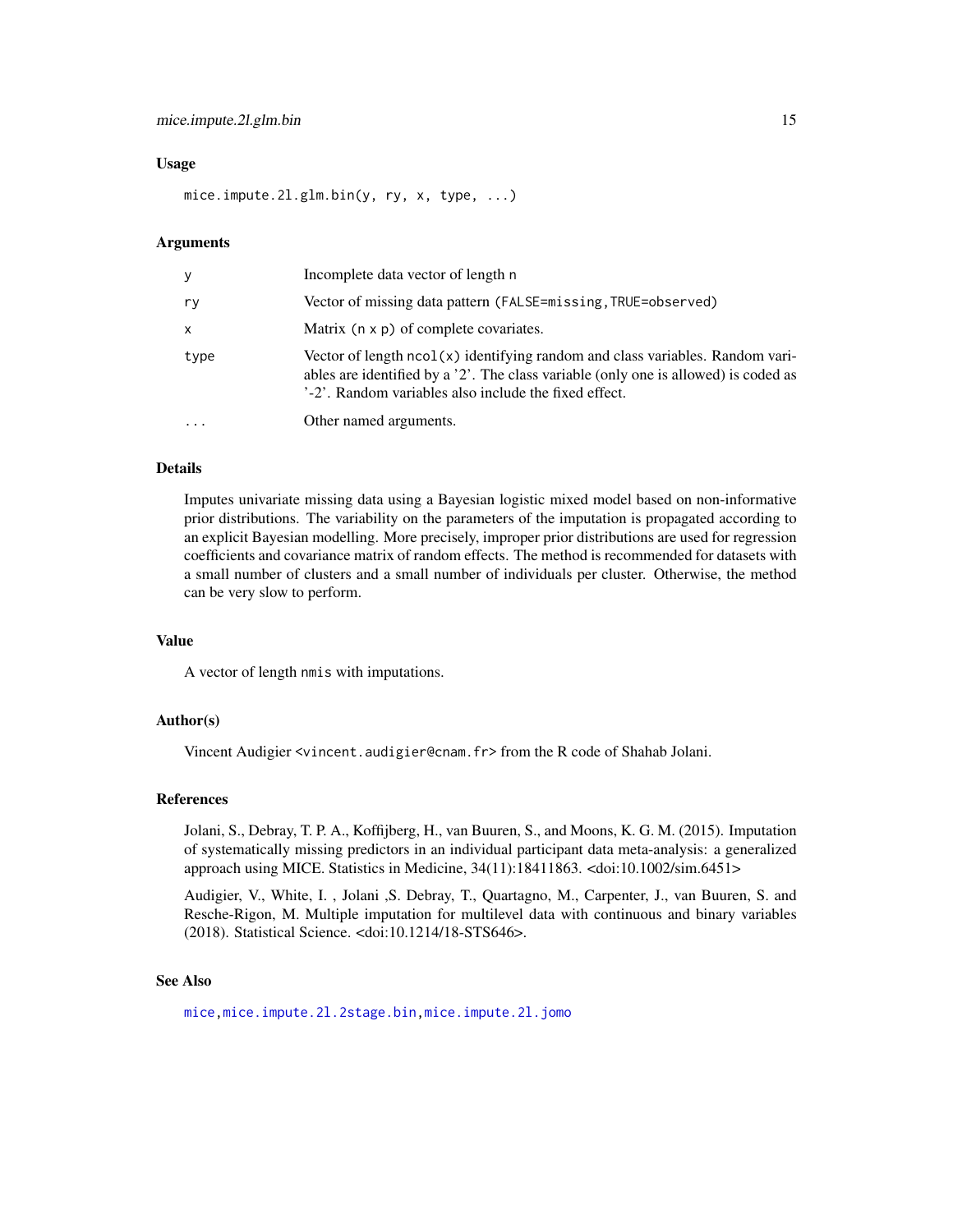#### <span id="page-14-0"></span>Usage

mice.impute.2l.glm.bin(y, ry, x, type, ...)

#### Arguments

| y    | Incomplete data vector of length n                                                                                                                                                                                              |
|------|---------------------------------------------------------------------------------------------------------------------------------------------------------------------------------------------------------------------------------|
| ry   | Vector of missing data pattern (FALSE=missing, TRUE=observed)                                                                                                                                                                   |
| X    | Matrix $(n \times p)$ of complete covariates.                                                                                                                                                                                   |
| type | Vector of length $ncol(x)$ identifying random and class variables. Random vari-<br>ables are identified by a '2'. The class variable (only one is allowed) is coded as<br>'-2'. Random variables also include the fixed effect. |
|      | Other named arguments.                                                                                                                                                                                                          |

#### Details

Imputes univariate missing data using a Bayesian logistic mixed model based on non-informative prior distributions. The variability on the parameters of the imputation is propagated according to an explicit Bayesian modelling. More precisely, improper prior distributions are used for regression coefficients and covariance matrix of random effects. The method is recommended for datasets with a small number of clusters and a small number of individuals per cluster. Otherwise, the method can be very slow to perform.

#### Value

A vector of length nmis with imputations.

#### Author(s)

Vincent Audigier <vincent.audigier@cnam.fr> from the R code of Shahab Jolani.

#### References

Jolani, S., Debray, T. P. A., Koffijberg, H., van Buuren, S., and Moons, K. G. M. (2015). Imputation of systematically missing predictors in an individual participant data meta-analysis: a generalized approach using MICE. Statistics in Medicine, 34(11):18411863. <doi:10.1002/sim.6451>

Audigier, V., White, I. , Jolani ,S. Debray, T., Quartagno, M., Carpenter, J., van Buuren, S. and Resche-Rigon, M. Multiple imputation for multilevel data with continuous and binary variables (2018). Statistical Science. <doi:10.1214/18-STS646>.

#### See Also

[mice](#page-0-0)[,mice.impute.2l.2stage.bin,](#page-8-1)[mice.impute.2l.jomo](#page-17-1)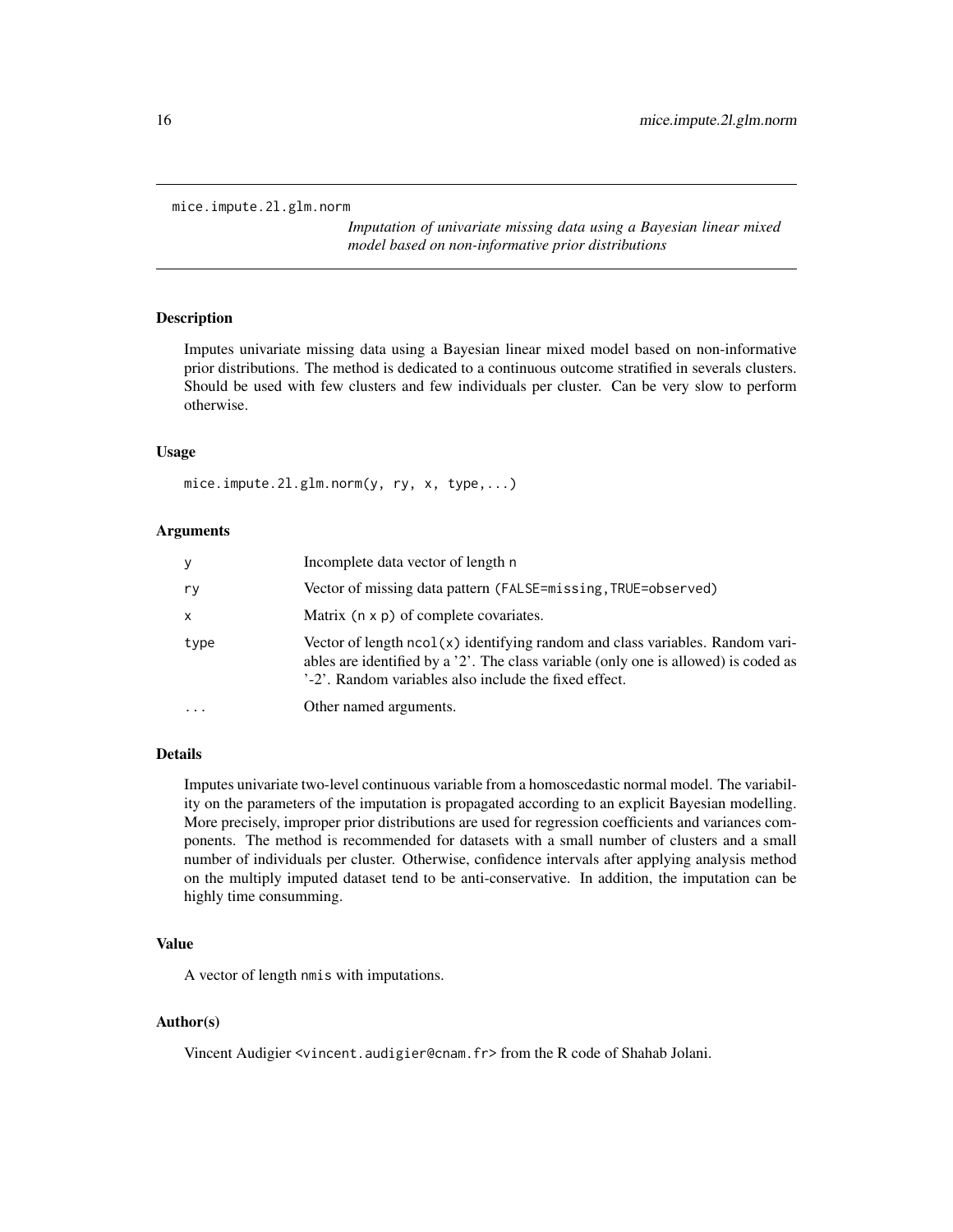```
mice.impute.2l.glm.norm
```
*Imputation of univariate missing data using a Bayesian linear mixed model based on non-informative prior distributions*

# Description

Imputes univariate missing data using a Bayesian linear mixed model based on non-informative prior distributions. The method is dedicated to a continuous outcome stratified in severals clusters. Should be used with few clusters and few individuals per cluster. Can be very slow to perform otherwise.

#### Usage

```
mice.impute.2l.glm.norm(y, ry, x, type,...)
```
# Arguments

| У        | Incomplete data vector of length n                                                                                                                                                                                              |
|----------|---------------------------------------------------------------------------------------------------------------------------------------------------------------------------------------------------------------------------------|
| ry       | Vector of missing data pattern (FALSE=missing, TRUE=observed)                                                                                                                                                                   |
| X        | Matrix $(n \times p)$ of complete covariates.                                                                                                                                                                                   |
| type     | Vector of length $ncol(x)$ identifying random and class variables. Random vari-<br>ables are identified by a '2'. The class variable (only one is allowed) is coded as<br>'-2'. Random variables also include the fixed effect. |
| $\cdots$ | Other named arguments.                                                                                                                                                                                                          |

# Details

Imputes univariate two-level continuous variable from a homoscedastic normal model. The variability on the parameters of the imputation is propagated according to an explicit Bayesian modelling. More precisely, improper prior distributions are used for regression coefficients and variances components. The method is recommended for datasets with a small number of clusters and a small number of individuals per cluster. Otherwise, confidence intervals after applying analysis method on the multiply imputed dataset tend to be anti-conservative. In addition, the imputation can be highly time consumming.

#### Value

A vector of length nmis with imputations.

#### Author(s)

Vincent Audigier <vincent.audigier@cnam.fr> from the R code of Shahab Jolani.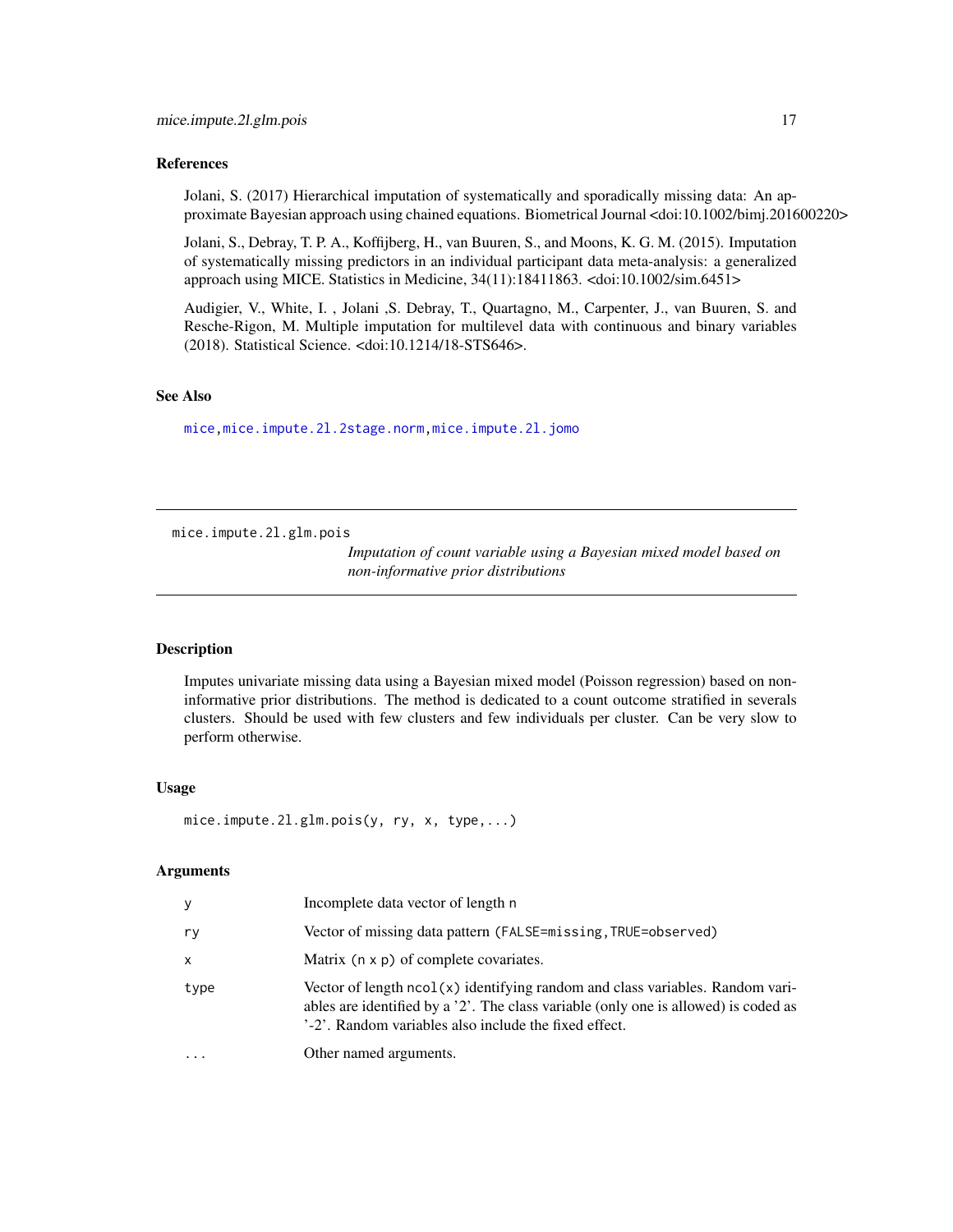#### <span id="page-16-0"></span>References

Jolani, S. (2017) Hierarchical imputation of systematically and sporadically missing data: An approximate Bayesian approach using chained equations. Biometrical Journal <doi:10.1002/bimj.201600220>

Jolani, S., Debray, T. P. A., Koffijberg, H., van Buuren, S., and Moons, K. G. M. (2015). Imputation of systematically missing predictors in an individual participant data meta-analysis: a generalized approach using MICE. Statistics in Medicine, 34(11):18411863. <doi:10.1002/sim.6451>

Audigier, V., White, I. , Jolani ,S. Debray, T., Quartagno, M., Carpenter, J., van Buuren, S. and Resche-Rigon, M. Multiple imputation for multilevel data with continuous and binary variables (2018). Statistical Science. <doi:10.1214/18-STS646>.

#### See Also

[mice](#page-0-0)[,mice.impute.2l.2stage.norm,](#page-9-1)[mice.impute.2l.jomo](#page-17-1)

<span id="page-16-1"></span>mice.impute.2l.glm.pois

*Imputation of count variable using a Bayesian mixed model based on non-informative prior distributions*

#### **Description**

Imputes univariate missing data using a Bayesian mixed model (Poisson regression) based on noninformative prior distributions. The method is dedicated to a count outcome stratified in severals clusters. Should be used with few clusters and few individuals per cluster. Can be very slow to perform otherwise.

#### Usage

```
mice.impute.2l.glm.pois(y, ry, x, type,...)
```
# **Arguments**

| У    | Incomplete data vector of length n                                                                                                                                                                                              |
|------|---------------------------------------------------------------------------------------------------------------------------------------------------------------------------------------------------------------------------------|
| ry   | Vector of missing data pattern (FALSE=missing, TRUE=observed)                                                                                                                                                                   |
| X    | Matrix $(n \times p)$ of complete covariates.                                                                                                                                                                                   |
| type | Vector of length $ncol(x)$ identifying random and class variables. Random vari-<br>ables are identified by a '2'. The class variable (only one is allowed) is coded as<br>'-2'. Random variables also include the fixed effect. |
| .    | Other named arguments.                                                                                                                                                                                                          |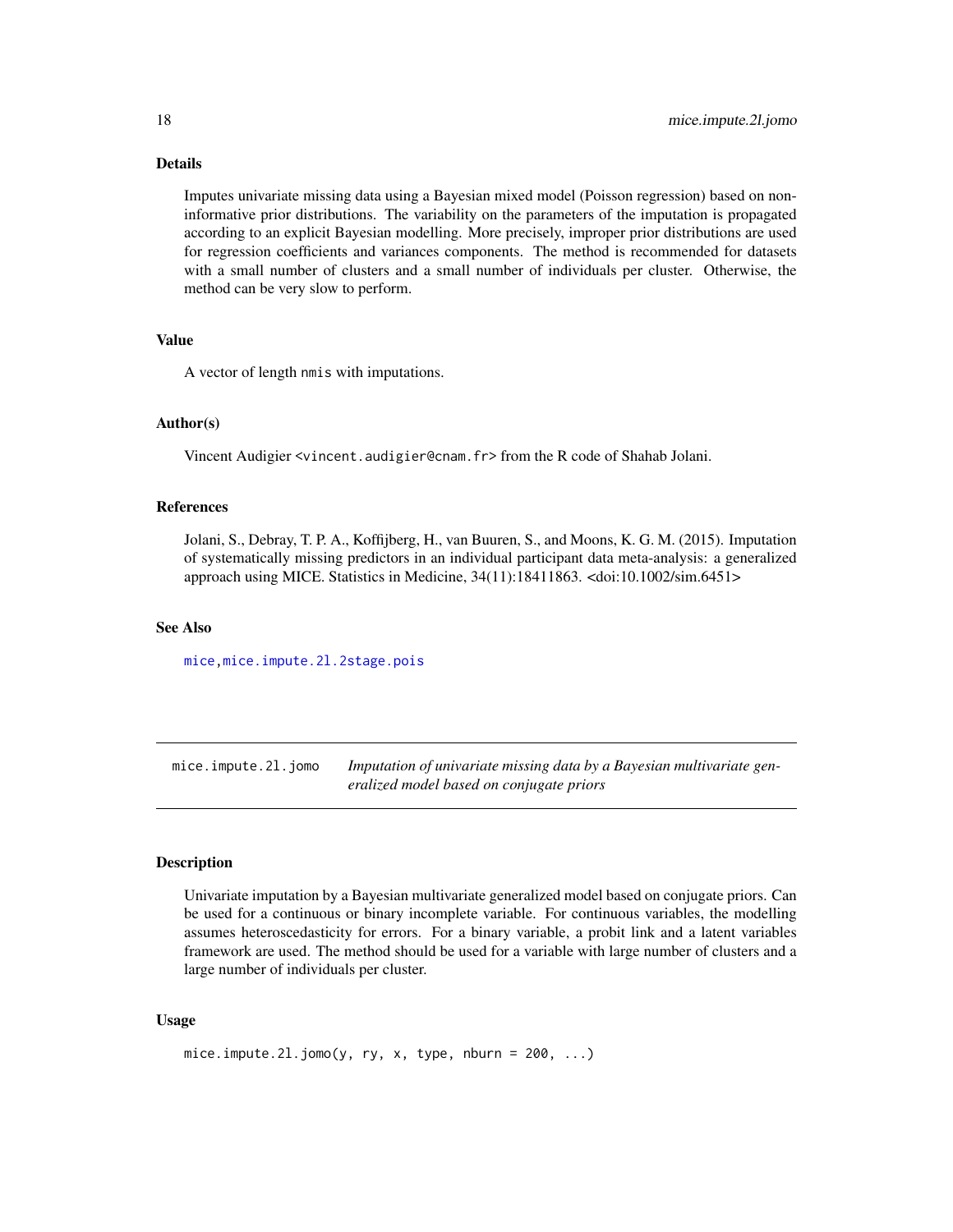# Details

Imputes univariate missing data using a Bayesian mixed model (Poisson regression) based on noninformative prior distributions. The variability on the parameters of the imputation is propagated according to an explicit Bayesian modelling. More precisely, improper prior distributions are used for regression coefficients and variances components. The method is recommended for datasets with a small number of clusters and a small number of individuals per cluster. Otherwise, the method can be very slow to perform.

### Value

A vector of length nmis with imputations.

### Author(s)

Vincent Audigier <vincent.audigier@cnam.fr> from the R code of Shahab Jolani.

# References

Jolani, S., Debray, T. P. A., Koffijberg, H., van Buuren, S., and Moons, K. G. M. (2015). Imputation of systematically missing predictors in an individual participant data meta-analysis: a generalized approach using MICE. Statistics in Medicine, 34(11):18411863. <doi:10.1002/sim.6451>

#### See Also

[mice](#page-0-0)[,mice.impute.2l.2stage.pois](#page-12-1)

<span id="page-17-1"></span>mice.impute.2l.jomo *Imputation of univariate missing data by a Bayesian multivariate generalized model based on conjugate priors*

# **Description**

Univariate imputation by a Bayesian multivariate generalized model based on conjugate priors. Can be used for a continuous or binary incomplete variable. For continuous variables, the modelling assumes heteroscedasticity for errors. For a binary variable, a probit link and a latent variables framework are used. The method should be used for a variable with large number of clusters and a large number of individuals per cluster.

# Usage

```
mice.impute.2l.jomo(y, ry, x, type, nburn = 200, ...)
```
<span id="page-17-0"></span>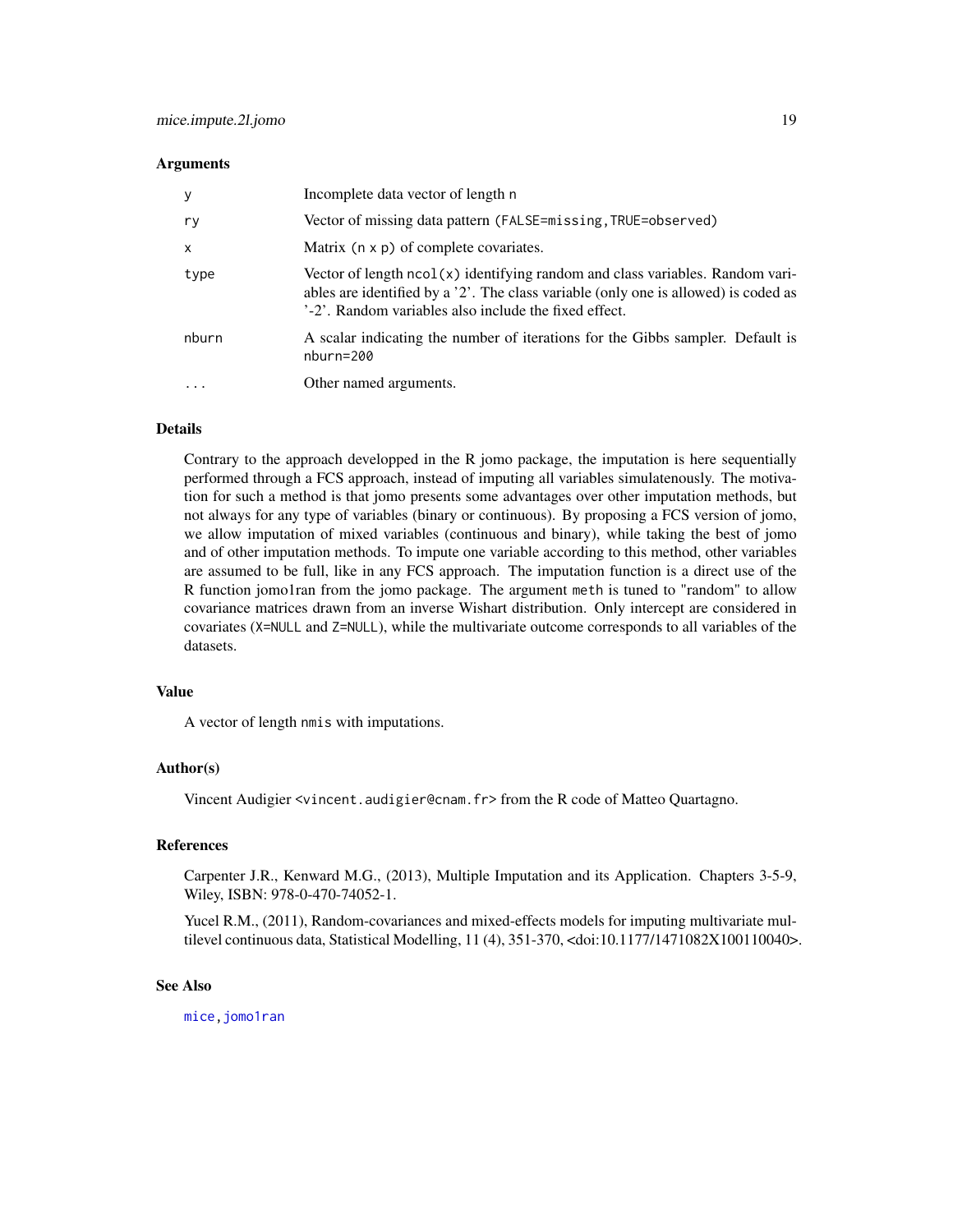#### <span id="page-18-0"></span>**Arguments**

| y     | Incomplete data vector of length n                                                                                                                                                                                              |
|-------|---------------------------------------------------------------------------------------------------------------------------------------------------------------------------------------------------------------------------------|
| ry    | Vector of missing data pattern (FALSE=missing, TRUE=observed)                                                                                                                                                                   |
| x     | Matrix (n x p) of complete covariates.                                                                                                                                                                                          |
| type  | Vector of length $ncol(x)$ identifying random and class variables. Random vari-<br>ables are identified by a '2'. The class variable (only one is allowed) is coded as<br>'-2'. Random variables also include the fixed effect. |
| nburn | A scalar indicating the number of iterations for the Gibbs sampler. Default is<br>nburn=200                                                                                                                                     |
| .     | Other named arguments.                                                                                                                                                                                                          |

# Details

Contrary to the approach developped in the R jomo package, the imputation is here sequentially performed through a FCS approach, instead of imputing all variables simulatenously. The motivation for such a method is that jomo presents some advantages over other imputation methods, but not always for any type of variables (binary or continuous). By proposing a FCS version of jomo, we allow imputation of mixed variables (continuous and binary), while taking the best of jomo and of other imputation methods. To impute one variable according to this method, other variables are assumed to be full, like in any FCS approach. The imputation function is a direct use of the R function jomo1ran from the jomo package. The argument meth is tuned to "random" to allow covariance matrices drawn from an inverse Wishart distribution. Only intercept are considered in covariates (X=NULL and Z=NULL), while the multivariate outcome corresponds to all variables of the datasets.

# Value

A vector of length nmis with imputations.

# Author(s)

Vincent Audigier <vincent.audigier@cnam.fr>from the R code of Matteo Quartagno.

#### References

Carpenter J.R., Kenward M.G., (2013), Multiple Imputation and its Application. Chapters 3-5-9, Wiley, ISBN: 978-0-470-74052-1.

Yucel R.M., (2011), Random-covariances and mixed-effects models for imputing multivariate multilevel continuous data, Statistical Modelling, 11 (4), 351-370, <doi:10.1177/1471082X100110040>.

#### See Also

[mice,jomo1ran](#page-0-0)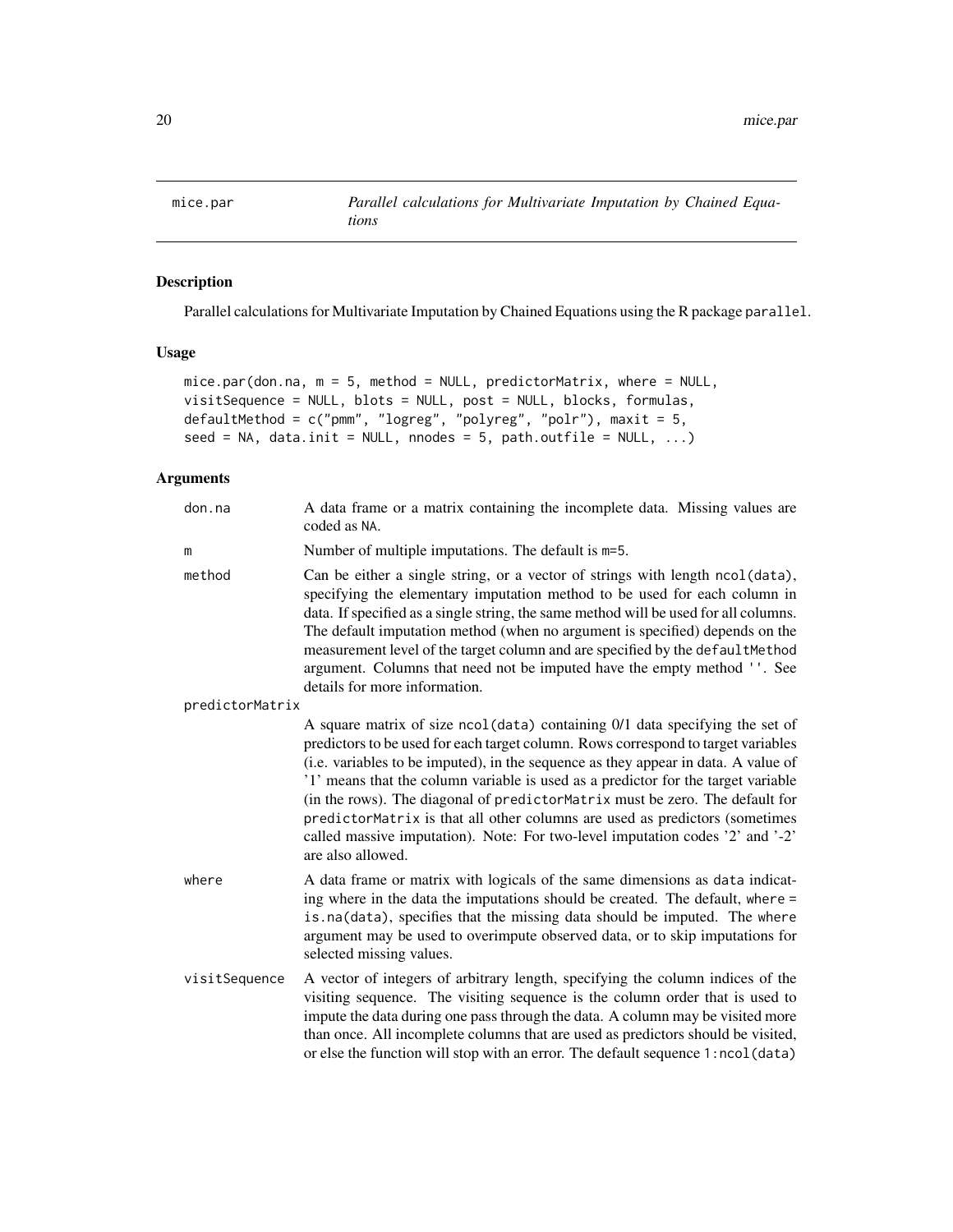<span id="page-19-1"></span><span id="page-19-0"></span>

# Description

Parallel calculations for Multivariate Imputation by Chained Equations using the R package parallel.

# Usage

```
mice.par(don.na, m = 5, method = NULL, predictorMatrix, where = NULL,
visitSequence = NULL, blots = NULL, post = NULL, blocks, formulas,
defaultMethod = c("pmm", "logreg", "polyreg", "polr"), maxit = 5,
seed = NA, data.init = NULL, nnodes = 5, path.outfile = NULL, \dots)
```
# Arguments

| don.na          | A data frame or a matrix containing the incomplete data. Missing values are<br>coded as NA.                                                                                                                                                                                                                                                                                                                                                                                                                                                                                                                       |
|-----------------|-------------------------------------------------------------------------------------------------------------------------------------------------------------------------------------------------------------------------------------------------------------------------------------------------------------------------------------------------------------------------------------------------------------------------------------------------------------------------------------------------------------------------------------------------------------------------------------------------------------------|
| m               | Number of multiple imputations. The default is m=5.                                                                                                                                                                                                                                                                                                                                                                                                                                                                                                                                                               |
| method          | Can be either a single string, or a vector of strings with length ncol(data),<br>specifying the elementary imputation method to be used for each column in<br>data. If specified as a single string, the same method will be used for all columns.<br>The default imputation method (when no argument is specified) depends on the<br>measurement level of the target column and are specified by the defaultMethod<br>argument. Columns that need not be imputed have the empty method ''. See<br>details for more information.                                                                                  |
| predictorMatrix |                                                                                                                                                                                                                                                                                                                                                                                                                                                                                                                                                                                                                   |
|                 | A square matrix of size ncol(data) containing 0/1 data specifying the set of<br>predictors to be used for each target column. Rows correspond to target variables<br>(i.e. variables to be imputed), in the sequence as they appear in data. A value of<br>'1' means that the column variable is used as a predictor for the target variable<br>(in the rows). The diagonal of predictorMatrix must be zero. The default for<br>predictorMatrix is that all other columns are used as predictors (sometimes<br>called massive imputation). Note: For two-level imputation codes '2' and '-2'<br>are also allowed. |
| where           | A data frame or matrix with logicals of the same dimensions as data indicat-<br>ing where in the data the imputations should be created. The default, where =<br>is.na(data), specifies that the missing data should be imputed. The where<br>argument may be used to overimpute observed data, or to skip imputations for<br>selected missing values.                                                                                                                                                                                                                                                            |
| visitSequence   | A vector of integers of arbitrary length, specifying the column indices of the<br>visiting sequence. The visiting sequence is the column order that is used to<br>impute the data during one pass through the data. A column may be visited more<br>than once. All incomplete columns that are used as predictors should be visited,<br>or else the function will stop with an error. The default sequence 1:ncol(data)                                                                                                                                                                                           |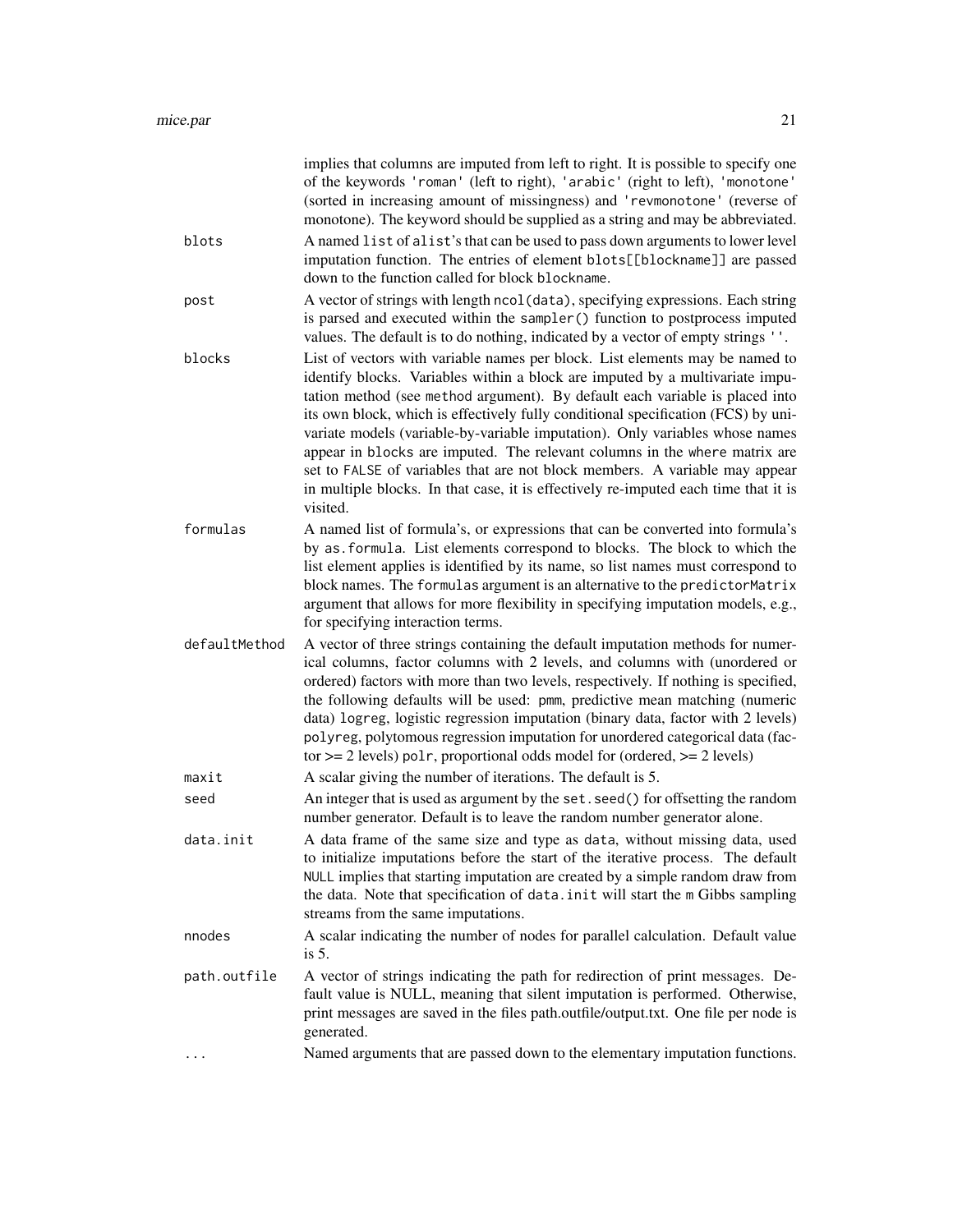|               | implies that columns are imputed from left to right. It is possible to specify one<br>of the keywords 'roman' (left to right), 'arabic' (right to left), 'monotone'<br>(sorted in increasing amount of missingness) and 'revmonotone' (reverse of<br>monotone). The keyword should be supplied as a string and may be abbreviated.                                                                                                                                                                                                                                                                                                                                                 |
|---------------|------------------------------------------------------------------------------------------------------------------------------------------------------------------------------------------------------------------------------------------------------------------------------------------------------------------------------------------------------------------------------------------------------------------------------------------------------------------------------------------------------------------------------------------------------------------------------------------------------------------------------------------------------------------------------------|
| blots         | A named list of alist's that can be used to pass down arguments to lower level<br>imputation function. The entries of element blots[[blockname]] are passed<br>down to the function called for block blockname.                                                                                                                                                                                                                                                                                                                                                                                                                                                                    |
| post          | A vector of strings with length ncol (data), specifying expressions. Each string<br>is parsed and executed within the sampler () function to postprocess imputed<br>values. The default is to do nothing, indicated by a vector of empty strings ''.                                                                                                                                                                                                                                                                                                                                                                                                                               |
| blocks        | List of vectors with variable names per block. List elements may be named to<br>identify blocks. Variables within a block are imputed by a multivariate impu-<br>tation method (see method argument). By default each variable is placed into<br>its own block, which is effectively fully conditional specification (FCS) by uni-<br>variate models (variable-by-variable imputation). Only variables whose names<br>appear in blocks are imputed. The relevant columns in the where matrix are<br>set to FALSE of variables that are not block members. A variable may appear<br>in multiple blocks. In that case, it is effectively re-imputed each time that it is<br>visited. |
| formulas      | A named list of formula's, or expressions that can be converted into formula's<br>by as formula. List elements correspond to blocks. The block to which the<br>list element applies is identified by its name, so list names must correspond to<br>block names. The formulas argument is an alternative to the predictorMatrix<br>argument that allows for more flexibility in specifying imputation models, e.g.,<br>for specifying interaction terms.                                                                                                                                                                                                                            |
| defaultMethod | A vector of three strings containing the default imputation methods for numer-<br>ical columns, factor columns with 2 levels, and columns with (unordered or<br>ordered) factors with more than two levels, respectively. If nothing is specified,<br>the following defaults will be used: pmm, predictive mean matching (numeric<br>data) logreg, logistic regression imputation (binary data, factor with 2 levels)<br>polyreg, polytomous regression imputation for unordered categorical data (fac-<br>tor $\geq$ 2 levels) polr, proportional odds model for (ordered, $\geq$ 2 levels)                                                                                       |
| maxit         | A scalar giving the number of iterations. The default is 5.                                                                                                                                                                                                                                                                                                                                                                                                                                                                                                                                                                                                                        |
| seed          | An integer that is used as argument by the set. seed() for offsetting the random<br>number generator. Default is to leave the random number generator alone.                                                                                                                                                                                                                                                                                                                                                                                                                                                                                                                       |
| data.init     | A data frame of the same size and type as data, without missing data, used<br>to initialize imputations before the start of the iterative process. The default<br>NULL implies that starting imputation are created by a simple random draw from<br>the data. Note that specification of data. init will start the m Gibbs sampling<br>streams from the same imputations.                                                                                                                                                                                                                                                                                                          |
| nnodes        | A scalar indicating the number of nodes for parallel calculation. Default value<br>is $5.$                                                                                                                                                                                                                                                                                                                                                                                                                                                                                                                                                                                         |
| path.outfile  | A vector of strings indicating the path for redirection of print messages. De-<br>fault value is NULL, meaning that silent imputation is performed. Otherwise,<br>print messages are saved in the files path.outfile/output.txt. One file per node is<br>generated.                                                                                                                                                                                                                                                                                                                                                                                                                |
| $\cdots$      | Named arguments that are passed down to the elementary imputation functions.                                                                                                                                                                                                                                                                                                                                                                                                                                                                                                                                                                                                       |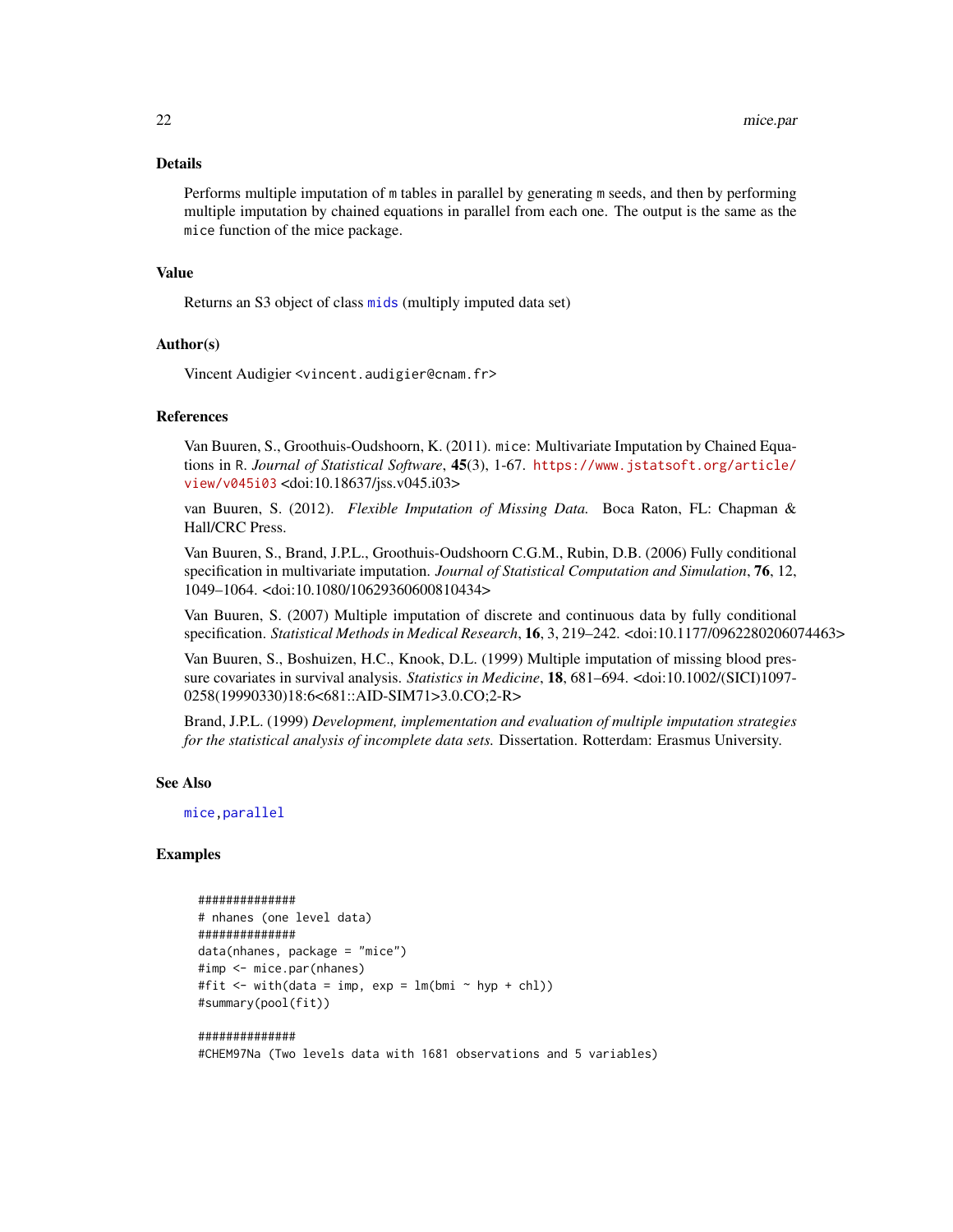#### <span id="page-21-0"></span>Details

Performs multiple imputation of m tables in parallel by generating m seeds, and then by performing multiple imputation by chained equations in parallel from each one. The output is the same as the mice function of the mice package.

# Value

Returns an S3 object of class [mids](#page-0-0) (multiply imputed data set)

#### Author(s)

Vincent Audigier <vincent.audigier@cnam.fr>

#### References

Van Buuren, S., Groothuis-Oudshoorn, K. (2011). mice: Multivariate Imputation by Chained Equations in R. *Journal of Statistical Software*, 45(3), 1-67. [https://www.jstatsoft.org/article/](https://www.jstatsoft.org/article/view/v045i03) [view/v045i03](https://www.jstatsoft.org/article/view/v045i03) <doi:10.18637/jss.v045.i03>

van Buuren, S. (2012). *Flexible Imputation of Missing Data.* Boca Raton, FL: Chapman & Hall/CRC Press.

Van Buuren, S., Brand, J.P.L., Groothuis-Oudshoorn C.G.M., Rubin, D.B. (2006) Fully conditional specification in multivariate imputation. *Journal of Statistical Computation and Simulation*, 76, 12, 1049–1064. <doi:10.1080/10629360600810434>

Van Buuren, S. (2007) Multiple imputation of discrete and continuous data by fully conditional specification. *Statistical Methods in Medical Research*, 16, 3, 219–242. <doi:10.1177/0962280206074463>

Van Buuren, S., Boshuizen, H.C., Knook, D.L. (1999) Multiple imputation of missing blood pressure covariates in survival analysis. *Statistics in Medicine*, 18, 681–694. <doi:10.1002/(SICI)1097- 0258(19990330)18:6<681::AID-SIM71>3.0.CO;2-R>

Brand, J.P.L. (1999) *Development, implementation and evaluation of multiple imputation strategies for the statistical analysis of incomplete data sets.* Dissertation. Rotterdam: Erasmus University.

#### See Also

[mice,parallel](#page-0-0)

# Examples

```
##############
# nhanes (one level data)
##############
data(nhanes, package = "mice")
#imp <- mice.par(nhanes)
#fit \le with(data = imp, exp = lm(bmi \sim hyp + chl))
#summary(pool(fit))
##############
```
#CHEM97Na (Two levels data with 1681 observations and 5 variables)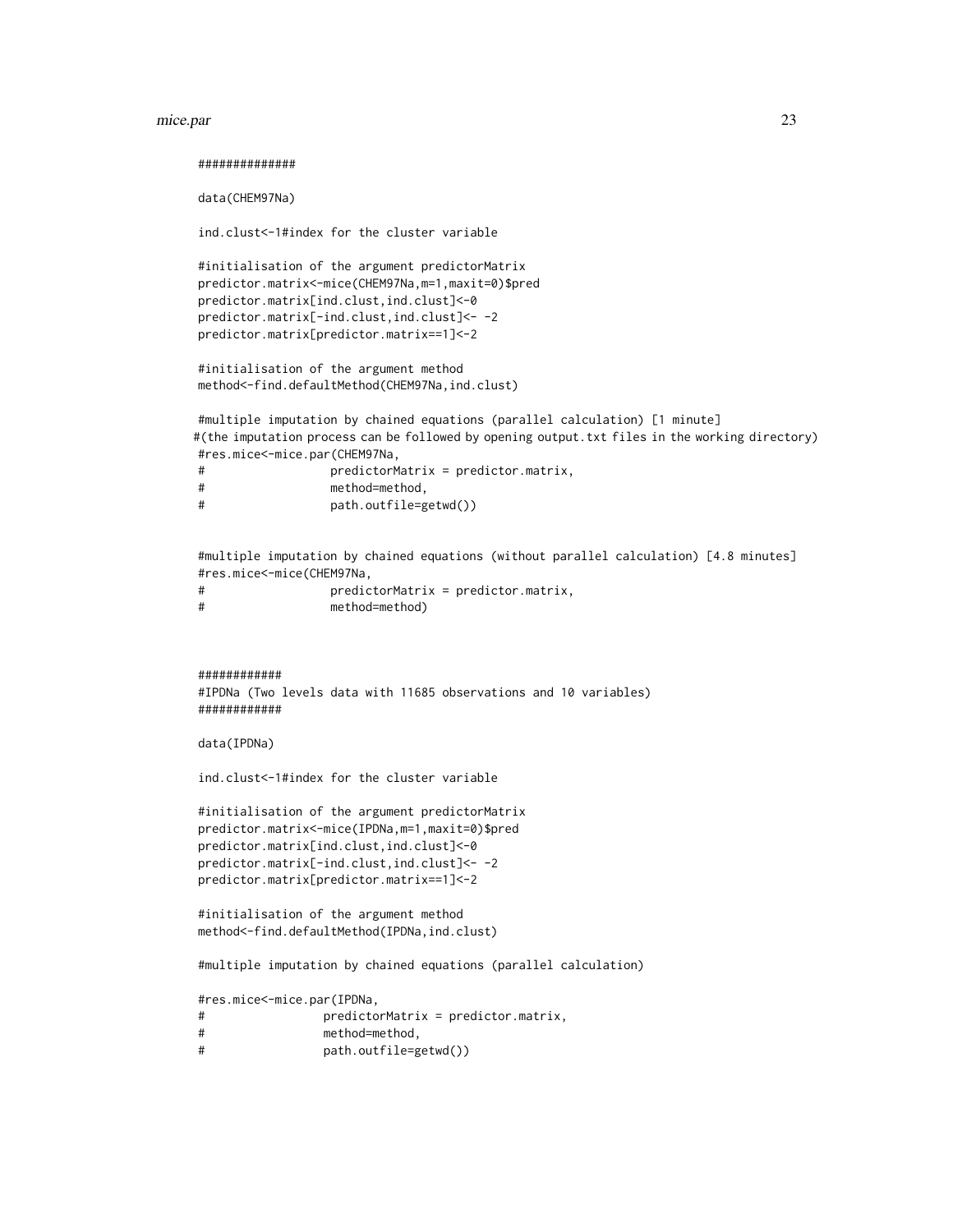#### mice.par 23

##############

data(CHEM97Na)

ind.clust<-1#index for the cluster variable

#initialisation of the argument predictorMatrix predictor.matrix<-mice(CHEM97Na,m=1,maxit=0)\$pred predictor.matrix[ind.clust,ind.clust]<-0 predictor.matrix[-ind.clust,ind.clust]<- -2 predictor.matrix[predictor.matrix==1]<-2

#initialisation of the argument method method<-find.defaultMethod(CHEM97Na,ind.clust)

#multiple imputation by chained equations (parallel calculation) [1 minute] #(the imputation process can be followed by opening output.txt files in the working directory) #res.mice<-mice.par(CHEM97Na, # predictorMatrix = predictor.matrix,

| method=method, |  |
|----------------|--|
|                |  |

# path.outfile=getwd())

#multiple imputation by chained equations (without parallel calculation) [4.8 minutes] #res.mice<-mice(CHEM97Na,

# predictorMatrix = predictor.matrix, # method=method)

```
############
```
#IPDNa (Two levels data with 11685 observations and 10 variables) ############

data(IPDNa)

ind.clust<-1#index for the cluster variable

#initialisation of the argument predictorMatrix predictor.matrix<-mice(IPDNa,m=1,maxit=0)\$pred predictor.matrix[ind.clust,ind.clust]<-0 predictor.matrix[-ind.clust,ind.clust]<- -2 predictor.matrix[predictor.matrix==1]<-2

#initialisation of the argument method method<-find.defaultMethod(IPDNa,ind.clust)

#multiple imputation by chained equations (parallel calculation)

#res.mice<-mice.par(IPDNa,

# predictorMatrix = predictor.matrix,

- # method=method,
- # path.outfile=getwd())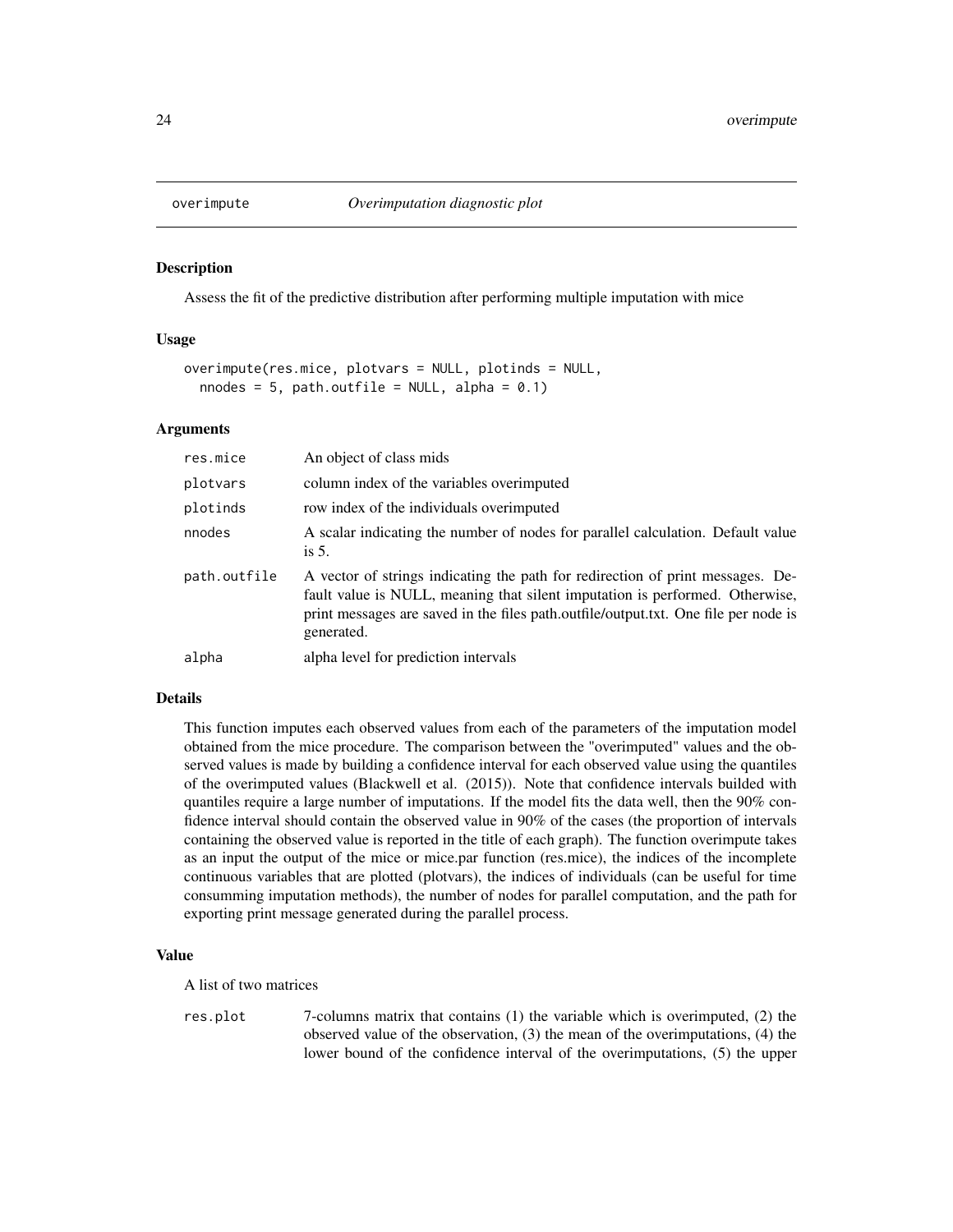<span id="page-23-0"></span>

#### Description

Assess the fit of the predictive distribution after performing multiple imputation with mice

#### Usage

```
overimpute(res.mice, plotvars = NULL, plotinds = NULL,
  nnodes = 5, path.outfile = NULL, alpha = 0.1)
```
#### Arguments

| res.mice     | An object of class mids                                                                                                                                                                                                                                             |  |
|--------------|---------------------------------------------------------------------------------------------------------------------------------------------------------------------------------------------------------------------------------------------------------------------|--|
| plotvars     | column index of the variables overimputed                                                                                                                                                                                                                           |  |
| plotinds     | row index of the individuals overimputed                                                                                                                                                                                                                            |  |
| nnodes       | A scalar indicating the number of nodes for parallel calculation. Default value<br>is $5$ .                                                                                                                                                                         |  |
| path.outfile | A vector of strings indicating the path for redirection of print messages. De-<br>fault value is NULL, meaning that silent imputation is performed. Otherwise,<br>print messages are saved in the files path.outfile/output.txt. One file per node is<br>generated. |  |
| alpha        | alpha level for prediction intervals                                                                                                                                                                                                                                |  |

#### Details

This function imputes each observed values from each of the parameters of the imputation model obtained from the mice procedure. The comparison between the "overimputed" values and the observed values is made by building a confidence interval for each observed value using the quantiles of the overimputed values (Blackwell et al. (2015)). Note that confidence intervals builded with quantiles require a large number of imputations. If the model fits the data well, then the 90% confidence interval should contain the observed value in 90% of the cases (the proportion of intervals containing the observed value is reported in the title of each graph). The function overimpute takes as an input the output of the mice or mice.par function (res.mice), the indices of the incomplete continuous variables that are plotted (plotvars), the indices of individuals (can be useful for time consumming imputation methods), the number of nodes for parallel computation, and the path for exporting print message generated during the parallel process.

# Value

A list of two matrices

res.plot 7-columns matrix that contains (1) the variable which is overimputed, (2) the observed value of the observation, (3) the mean of the overimputations, (4) the lower bound of the confidence interval of the overimputations, (5) the upper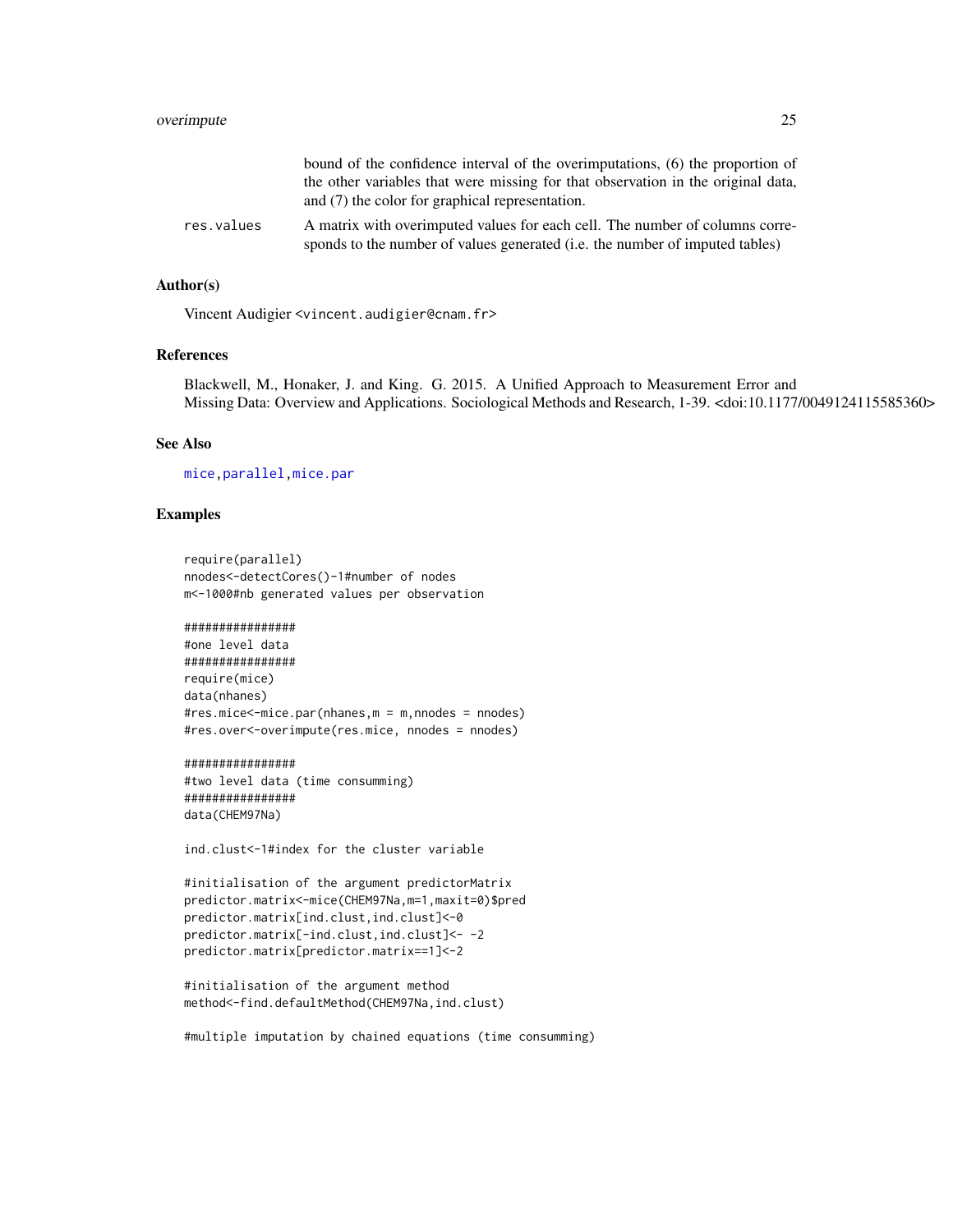<span id="page-24-0"></span>

|            | bound of the confidence interval of the overimputations, (6) the proportion of                                                                                       |
|------------|----------------------------------------------------------------------------------------------------------------------------------------------------------------------|
|            | the other variables that were missing for that observation in the original data,                                                                                     |
|            | and (7) the color for graphical representation.                                                                                                                      |
| res.values | A matrix with overimputed values for each cell. The number of columns corre-<br>sponds to the number of values generated ( <i>i.e.</i> the number of imputed tables) |

#### Author(s)

Vincent Audigier <vincent.audigier@cnam.fr>

#### References

Blackwell, M., Honaker, J. and King. G. 2015. A Unified Approach to Measurement Error and Missing Data: Overview and Applications. Sociological Methods and Research, 1-39. <doi:10.1177/0049124115585360>

# See Also

[mice,parallel](#page-0-0)[,mice.par](#page-19-1)

# Examples

```
require(parallel)
nnodes<-detectCores()-1#number of nodes
m<-1000#nb generated values per observation
```
################ #one level data ################ require(mice)

```
data(nhanes)
#res.mice<-mice.par(nhanes,m = m,nnodes = nnodes)
#res.over<-overimpute(res.mice, nnodes = nnodes)
```
#### ################

#two level data (time consumming) ################ data(CHEM97Na)

ind.clust<-1#index for the cluster variable

```
#initialisation of the argument predictorMatrix
predictor.matrix<-mice(CHEM97Na,m=1,maxit=0)$pred
predictor.matrix[ind.clust,ind.clust]<-0
predictor.matrix[-ind.clust,ind.clust]<- -2
predictor.matrix[predictor.matrix==1]<-2
```

```
#initialisation of the argument method
method<-find.defaultMethod(CHEM97Na,ind.clust)
```
#multiple imputation by chained equations (time consumming)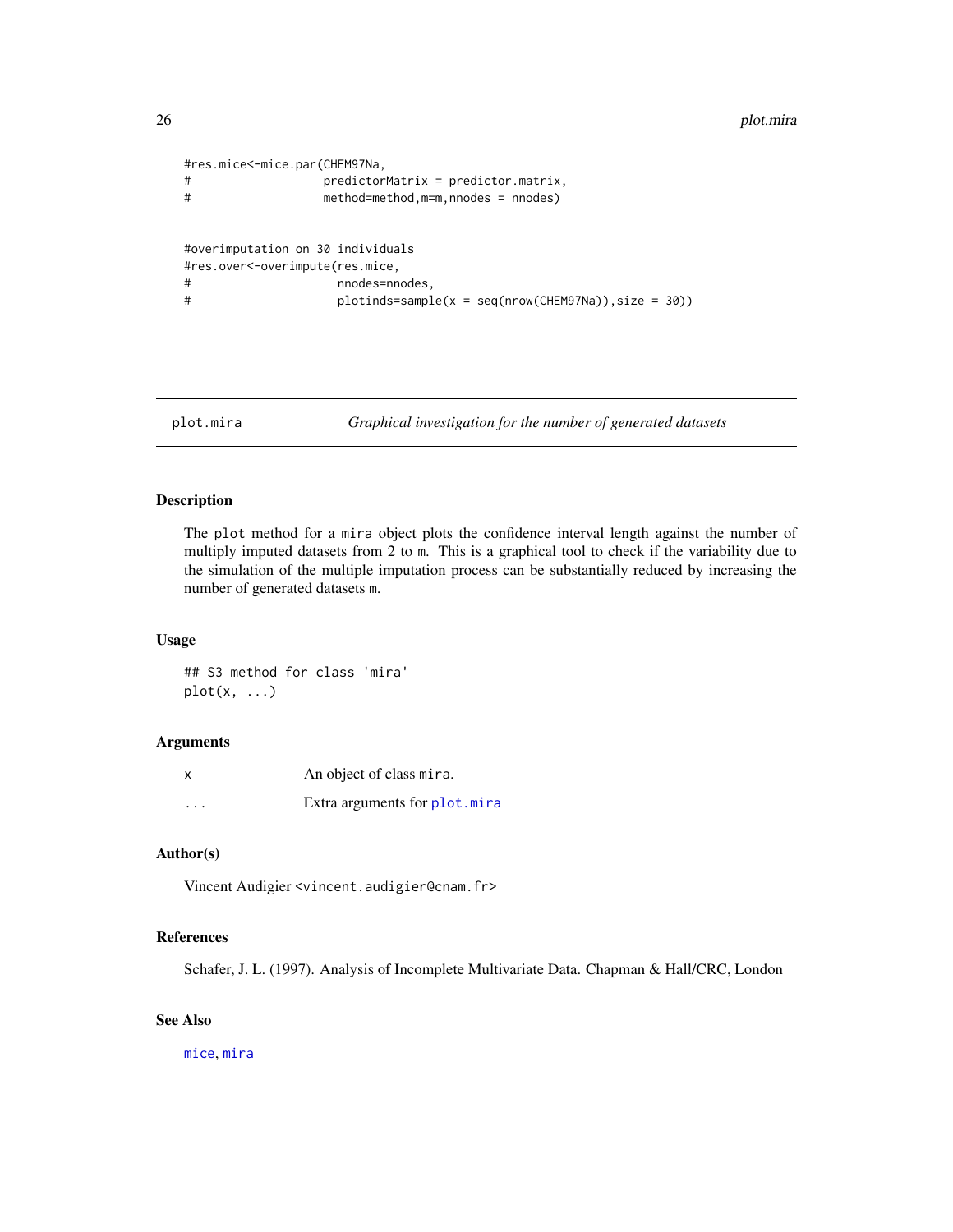```
#res.mice<-mice.par(CHEM97Na,
# predictorMatrix = predictor.matrix,
# method=method,m=m,nnodes = nnodes)
#overimputation on 30 individuals
#res.over<-overimpute(res.mice,
# nnodes=nnodes,
# plotinds=sample(x = seq(nrow(CHEM97Na)),size = 30))
```
<span id="page-25-1"></span>plot.mira *Graphical investigation for the number of generated datasets*

### Description

The plot method for a mira object plots the confidence interval length against the number of multiply imputed datasets from 2 to m. This is a graphical tool to check if the variability due to the simulation of the multiple imputation process can be substantially reduced by increasing the number of generated datasets m.

# Usage

## S3 method for class 'mira'  $plot(x, \ldots)$ 

### Arguments

| x                       | An object of class mira.      |
|-------------------------|-------------------------------|
| $\cdot$ $\cdot$ $\cdot$ | Extra arguments for plot.mira |

# Author(s)

Vincent Audigier <vincent.audigier@cnam.fr>

# References

Schafer, J. L. (1997). Analysis of Incomplete Multivariate Data. Chapman & Hall/CRC, London

# See Also

[mice](#page-0-0), [mira](#page-0-0)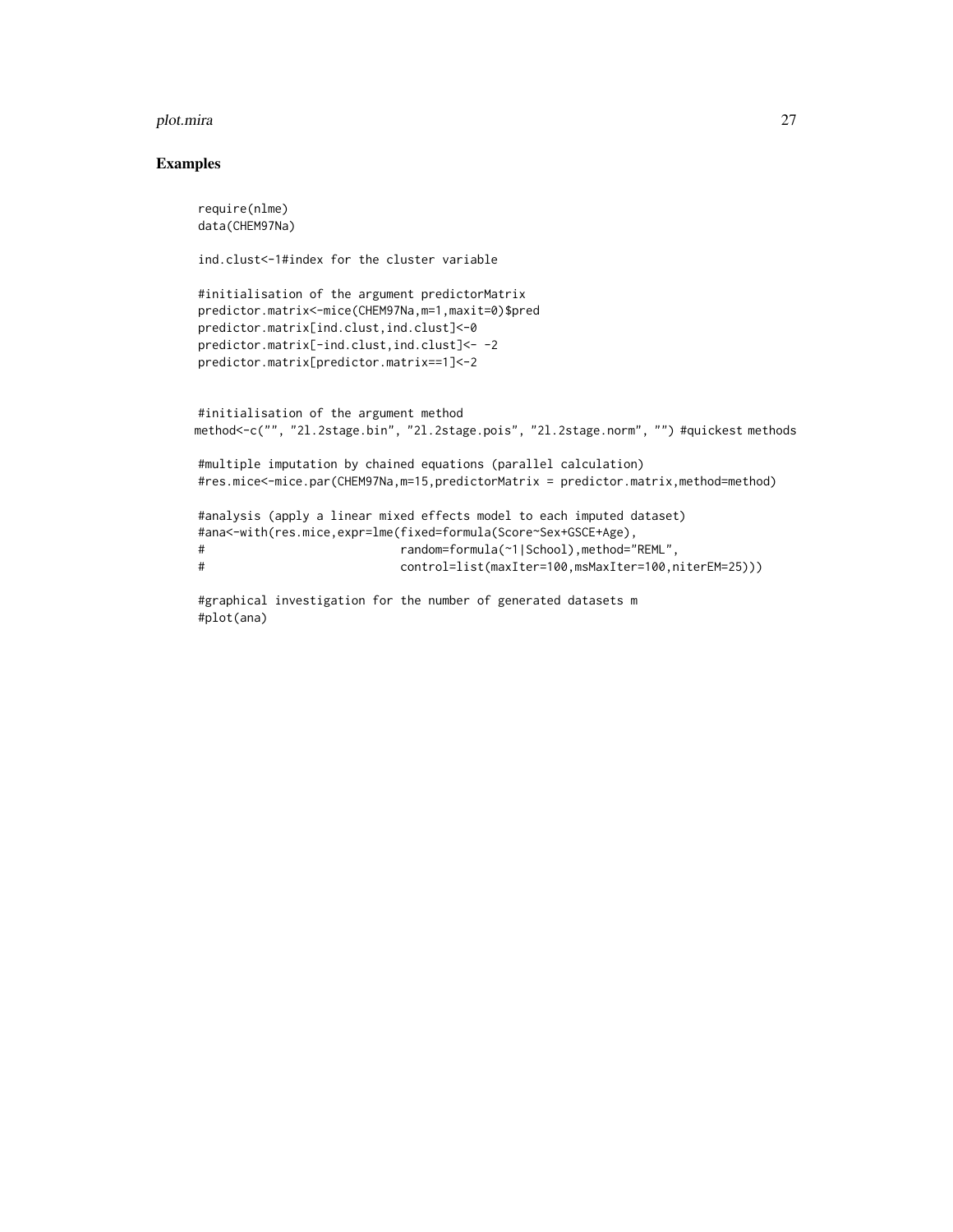#### plot.mira 27

# Examples

```
require(nlme)
data(CHEM97Na)
ind.clust<-1#index for the cluster variable
#initialisation of the argument predictorMatrix
predictor.matrix<-mice(CHEM97Na,m=1,maxit=0)$pred
predictor.matrix[ind.clust,ind.clust]<-0
predictor.matrix[-ind.clust,ind.clust]<- -2
predictor.matrix[predictor.matrix==1]<-2
#initialisation of the argument method
method<-c("", "2l.2stage.bin", "2l.2stage.pois", "2l.2stage.norm", "") #quickest methods
#multiple imputation by chained equations (parallel calculation)
#res.mice<-mice.par(CHEM97Na,m=15,predictorMatrix = predictor.matrix,method=method)
#analysis (apply a linear mixed effects model to each imputed dataset)
#ana<-with(res.mice,expr=lme(fixed=formula(Score~Sex+GSCE+Age),
# random=formula(~1|School),method="REML",
# control=list(maxIter=100,msMaxIter=100,niterEM=25)))
```

```
#graphical investigation for the number of generated datasets m
#plot(ana)
```